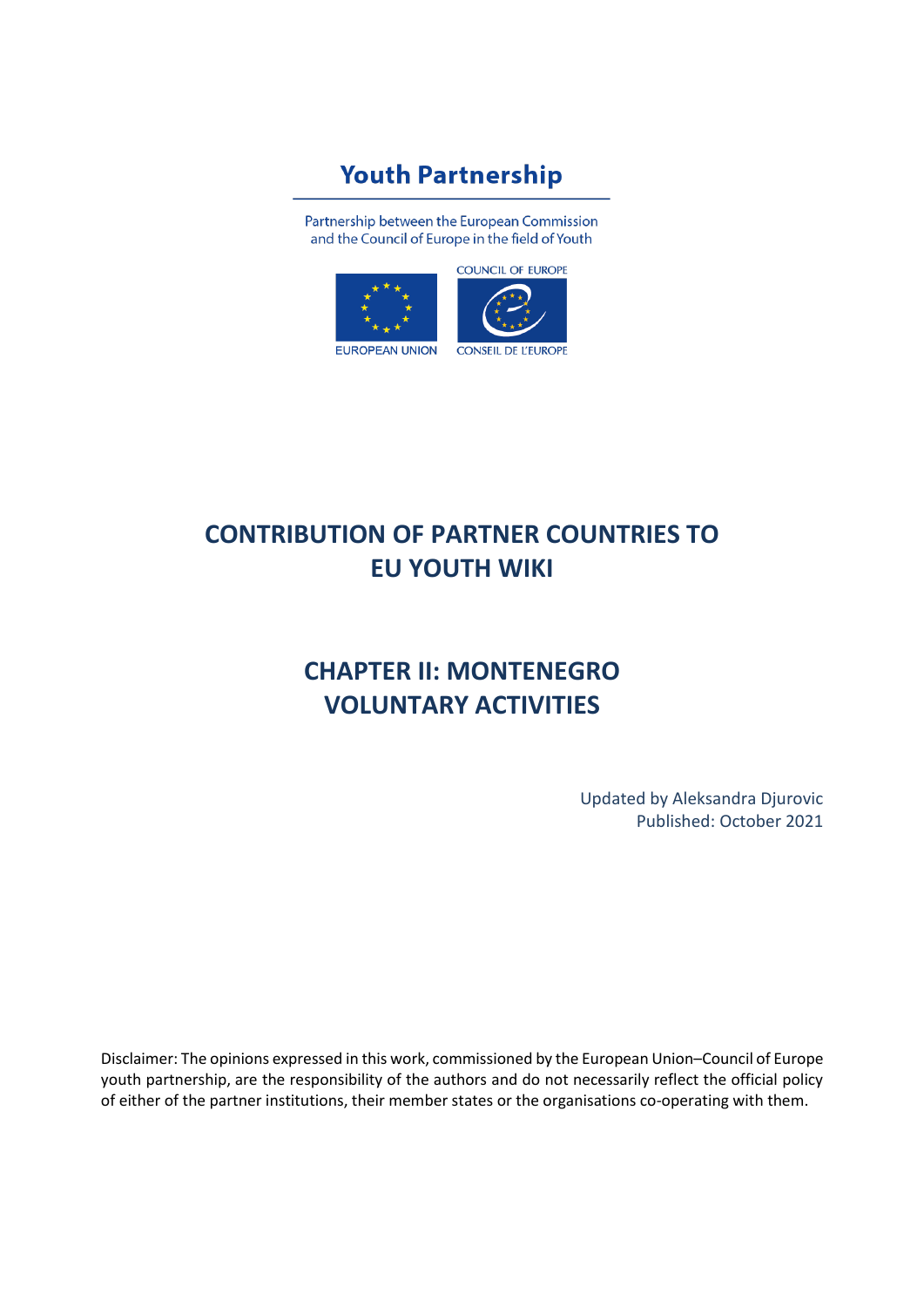# **Youth Partnership**

Partnership between the European Commission and the Council of Europe in the field of Youth



# **CONTRIBUTION OF PARTNER COUNTRIES TO EU YOUTH WIKI**

# **CHAPTER II: MONTENEGRO VOLUNTARY ACTIVITIES**

Updated by Aleksandra Djurovic Published: October 2021

Disclaimer: The opinions expressed in this work, commissioned by the European Union–Council of Europe youth partnership, are the responsibility of the authors and do not necessarily reflect the official policy of either of the partner institutions, their member states or the organisations co-operating with them.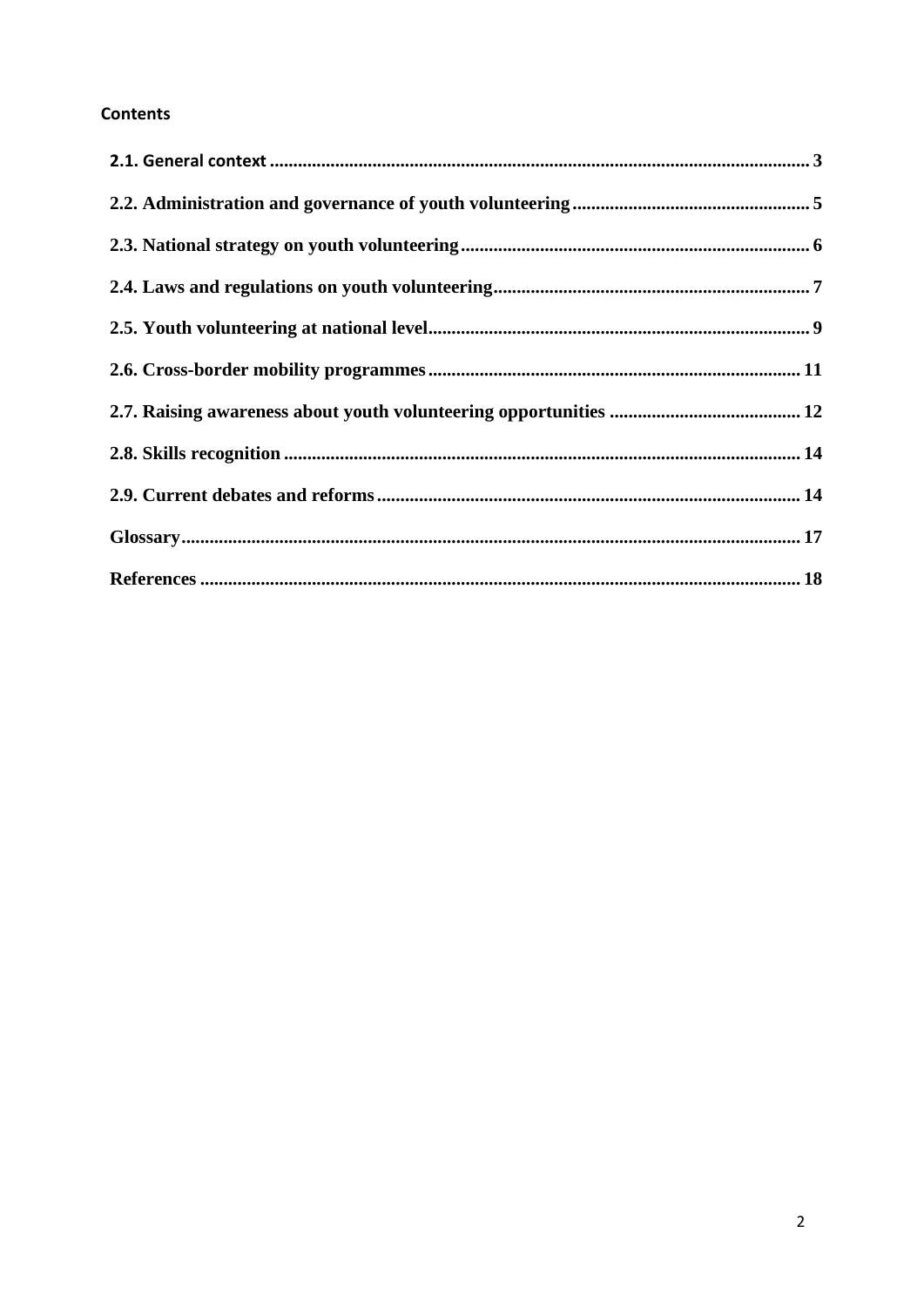## **Contents**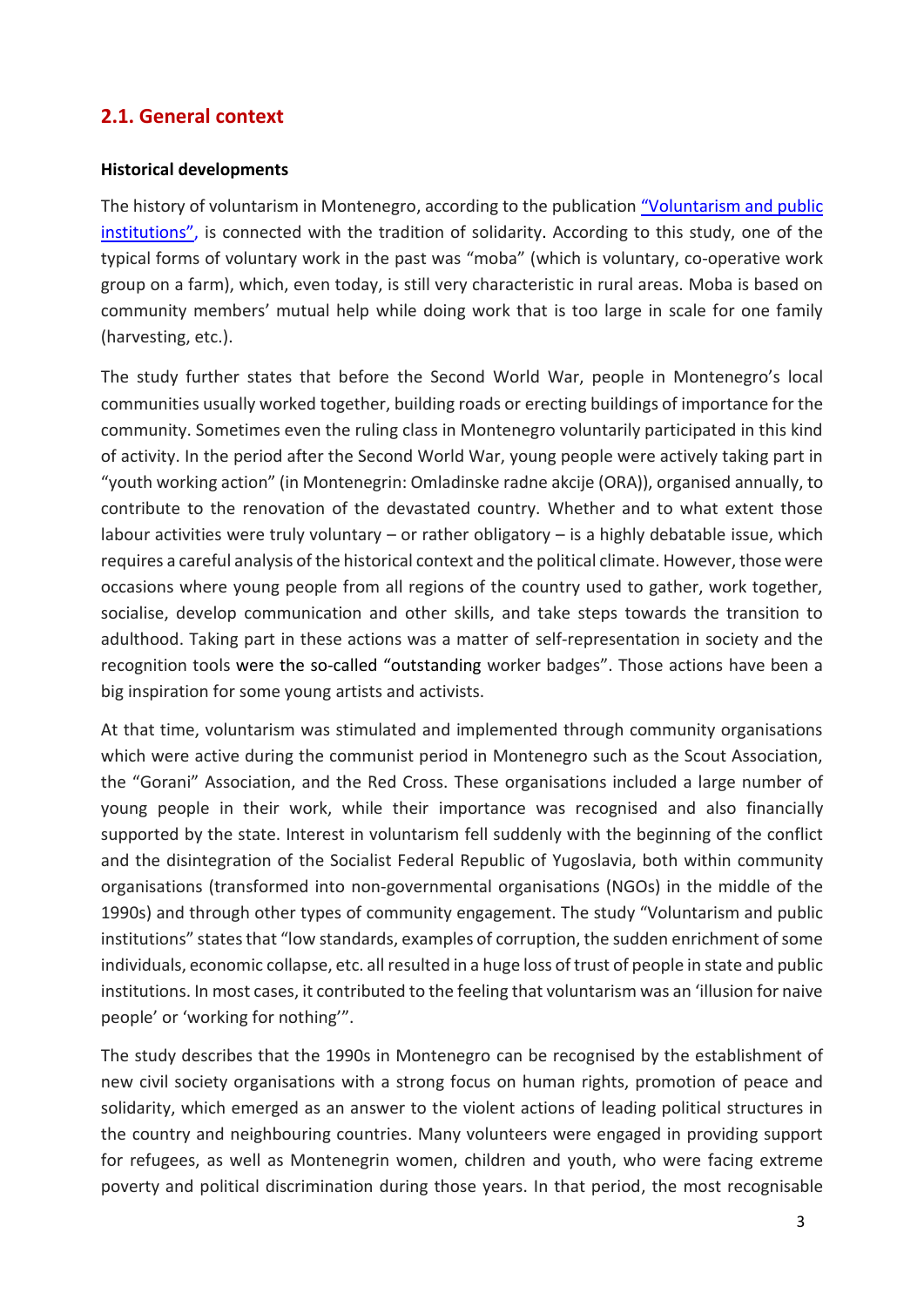## <span id="page-2-0"></span>**2.1. General context**

#### **Historical developments**

The history of voluntarism in Montenegro, according to the publication ["Voluntarism and public](http://www.volontiram.ba/wp-content/uploads/2014/09/Voluntarism-and-Public-Institutions.pdf)  [institutions"](http://www.volontiram.ba/wp-content/uploads/2014/09/Voluntarism-and-Public-Institutions.pdf), is connected with the tradition of solidarity. According to this study, one of the typical forms of voluntary work in the past was "moba" (which is voluntary, co-operative work group on a farm), which, even today, is still very characteristic in rural areas. Moba is based on community members' mutual help while doing work that is too large in scale for one family (harvesting, etc.).

The study further states that before the Second World War, people in Montenegro's local communities usually worked together, building roads or erecting buildings of importance for the community. Sometimes even the ruling class in Montenegro voluntarily participated in this kind of activity. In the period after the Second World War, young people were actively taking part in "youth working action" (in Montenegrin: Omladinske radne akcije (ORA)), organised annually, to contribute to the renovation of the devastated country. Whether and to what extent those labour activities were truly voluntary – or rather obligatory – is a highly debatable issue, which requires a careful analysis of the historical context and the political climate. However, those were occasions where young people from all regions of the country used to gather, work together, socialise, develop communication and other skills, and take steps towards the transition to adulthood. Taking part in these actions was a matter of self-representation in society and the recognition tools were the so-called "outstanding worker badges". Those actions have been a big inspiration for some young artists and activists.

At that time, voluntarism was stimulated and implemented through community organisations which were active during the communist period in Montenegro such as the Scout Association, the "Gorani" Association, and the Red Cross. These organisations included a large number of young people in their work, while their importance was recognised and also financially supported by the state. Interest in voluntarism fell suddenly with the beginning of the conflict and the disintegration of the Socialist Federal Republic of Yugoslavia, both within community organisations (transformed into non-governmental organisations (NGOs) in the middle of the 1990s) and through other types of community engagement. The study "Voluntarism and public institutions" states that "low standards, examples of corruption, the sudden enrichment of some individuals, economic collapse, etc. all resulted in a huge loss of trust of people in state and public institutions. In most cases, it contributed to the feeling that voluntarism was an 'illusion for naive people' or 'working for nothing'".

The study describes that the 1990s in Montenegro can be recognised by the establishment of new civil society organisations with a strong focus on human rights, promotion of peace and solidarity, which emerged as an answer to the violent actions of leading political structures in the country and neighbouring countries. Many volunteers were engaged in providing support for refugees, as well as Montenegrin women, children and youth, who were facing extreme poverty and political discrimination during those years. In that period, the most recognisable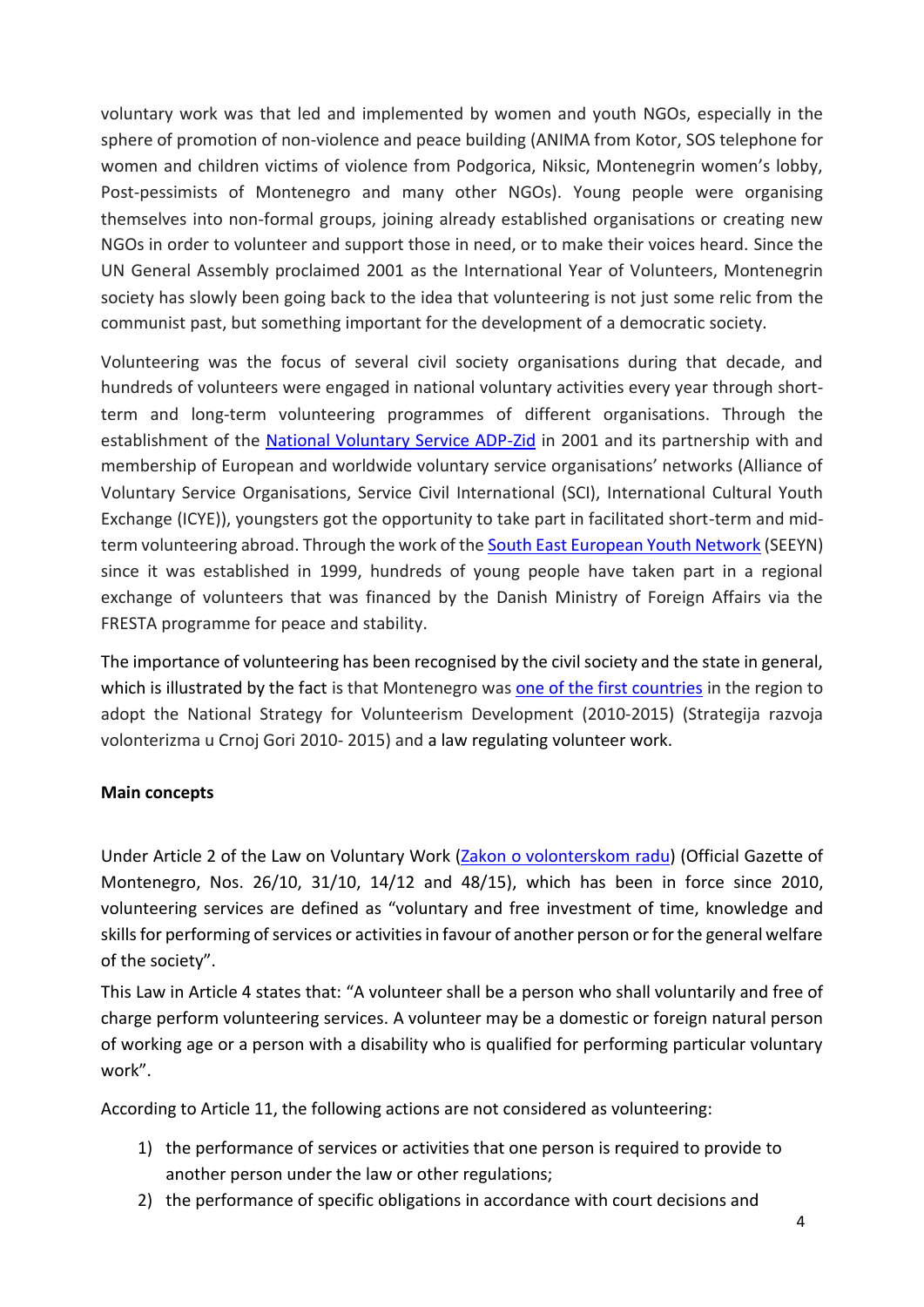voluntary work was that led and implemented by women and youth NGOs, especially in the sphere of promotion of non-violence and peace building (ANIMA from Kotor, SOS telephone for women and children victims of violence from Podgorica, Niksic, Montenegrin women's lobby, Post-pessimists of Montenegro and many other NGOs). Young people were organising themselves into non-formal groups, joining already established organisations or creating new NGOs in order to volunteer and support those in need, or to make their voices heard. Since the UN General Assembly proclaimed 2001 as the International Year of Volunteers, Montenegrin society has slowly been going back to the idea that volunteering is not just some relic from the communist past, but something important for the development of a democratic society.

Volunteering was the focus of several civil society organisations during that decade, and hundreds of volunteers were engaged in national voluntary activities every year through shortterm and long-term volunteering programmes of different organisations. Through the establishment of the [National Voluntary Service ADP-Zid](https://www.zid.org.me/) in 2001 and its partnership with and membership of European and worldwide voluntary service organisations' networks (Alliance of Voluntary Service Organisations, Service Civil International (SCI), International Cultural Youth Exchange (ICYE)), youngsters got the opportunity to take part in facilitated short-term and midterm volunteering abroad. Through the work of th[e South East European Youth Network](https://www.seeyn.org/index.php/about/who-we-are) (SEEYN) since it was established in 1999, hundreds of young people have taken part in a regional exchange of volunteers that was financed by the Danish Ministry of Foreign Affairs via the FRESTA programme for peace and stability.

The importance of volunteering has been recognised by the civil society and the state in general, which is illustrated by the fact is that Montenegro was [one of the first countries](https://www.tusev.org.tr/usrfiles/images/GonullulukBilgiNotuENG.15.01.16.rev1.pdf) in the region to adopt the [National Strategy for](http://www.minradiss.gov.me/biblioteka) Volunteerism Development (2010-2015) (Strategija razvoja volonterizma u Crnoj Gori 2010- 2015) and a law regulating volunteer work.

#### **Main concepts**

Under Article 2 of the Law on Voluntary Work [\(Zakon o volonterskom](https://www.zzzcg.me/wp-content/uploads/2015/05/Zakon-o-volonterskom-radu.pdf) radu) (Official Gazette of Montenegro, Nos. 26/10, 31/10, 14/12 and 48/15), which has been in force since 2010, volunteering services are defined as "voluntary and free investment of time, knowledge and skills for performing of services or activities in favour of another person or for the general welfare of the society".

This Law in Article 4 states that: "A volunteer shall be a person who shall voluntarily and free of charge perform volunteering services. A volunteer may be a domestic or foreign natural person of working age or a person with a disability who is qualified for performing particular voluntary work".

According to Article 11, the following actions are not considered as volunteering:

- 1) the performance of services or activities that one person is required to provide to another person under the law or other regulations;
- 2) the performance of specific obligations in accordance with court decisions and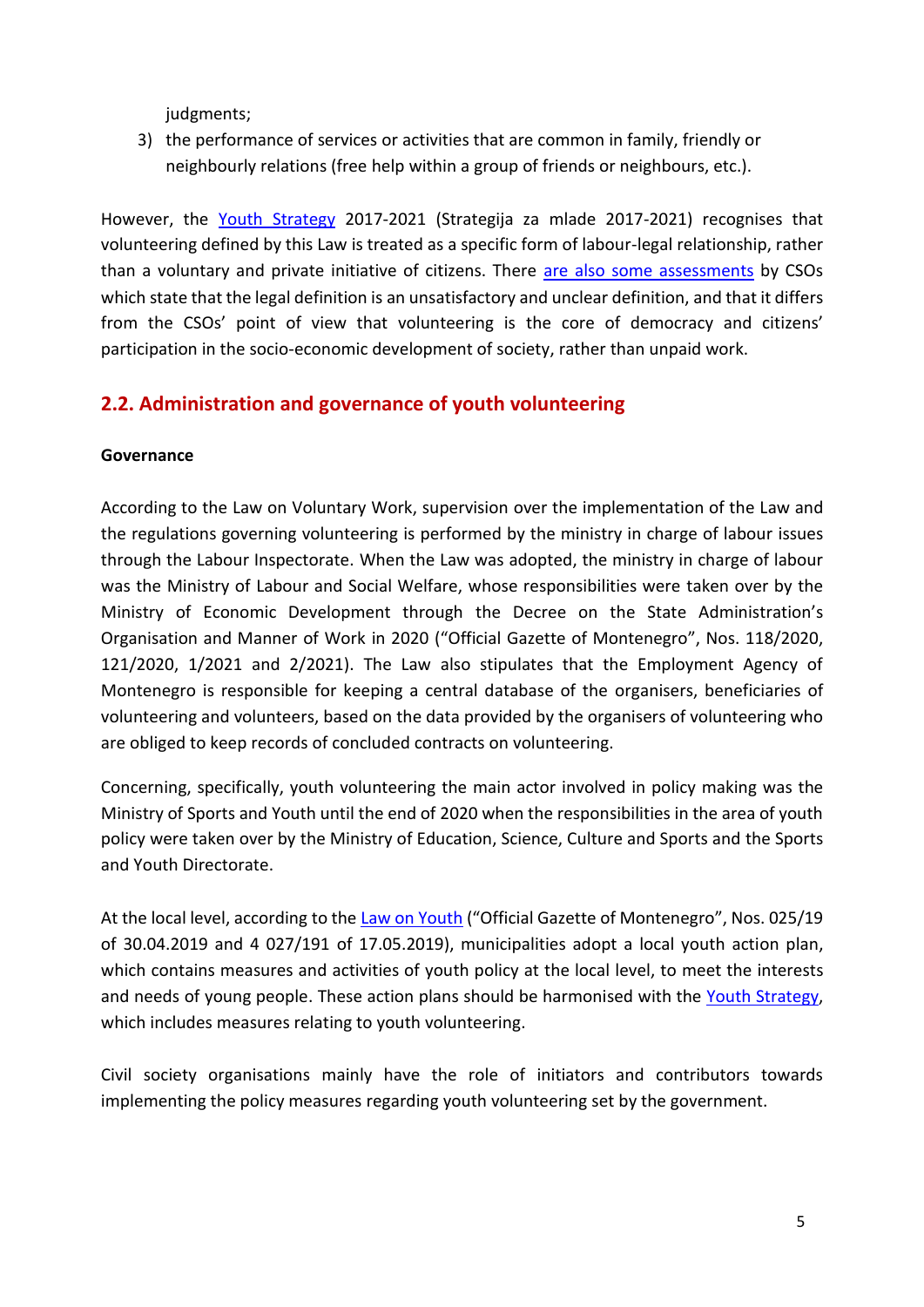judgments;

3) the performance of services or activities that are common in family, friendly or neighbourly relations (free help within a group of friends or neighbours, etc.).

However, the [Youth Strategy](http://www.strategijazamlade.me/download/Strategija%20za%20mlade%20eng.pdf) 2017-2021 (Strategija za mlade 2017-2021) recognises that volunteering defined by this Law is treated as a specific form of labour-legal relationship, rather than a voluntary and private initiative of citizens. There [are also some assessments](http://www.alliance-network.eu/wp-content/uploads/2014/05/CEV_Volunteering-infrastructure.pdf) by CSOs which state that the legal definition is an unsatisfactory and unclear definition, and that it differs from the CSOs' point of view that volunteering is the core of democracy and citizens' participation in the socio-economic development of society, rather than unpaid work.

## <span id="page-4-0"></span>**2.2. Administration and governance of youth volunteering**

#### **Governance**

According to the Law on Voluntary Work, supervision over the implementation of the Law and the regulations governing volunteering is performed by the ministry in charge of labour issues through the Labour Inspectorate. When the Law was adopted, the ministry in charge of labour was the Ministry of Labour and Social Welfare, whose responsibilities were taken over by the Ministry of Economic Development through the Decree on the State Administration's Organisation and Manner of Work in 2020 ("Official Gazette of Montenegro", Nos. 118/2020, 121/2020, 1/2021 and 2/2021). The Law also stipulates that the Employment Agency of Montenegro is responsible for keeping a central database of the organisers, beneficiaries of volunteering and volunteers, based on the data provided by the organisers of volunteering who are obliged to keep records of concluded contracts on volunteering.

Concerning, specifically, youth volunteering the main actor involved in policy making was the Ministry of Sports and Youth until the end of 2020 when the responsibilities in the area of youth policy were taken over by the Ministry of Education, Science, Culture and Sports and the Sports and Youth Directorate.

At the local level, according to the [Law on Youth](http://www.gov.me/biblioteka) ("Official Gazette of Montenegro", Nos. 025/19 of 30.04.2019 and 4 027/191 of 17.05.2019), municipalities adopt a local youth action plan, which contains measures and activities of youth policy at the local level, to meet the interests and needs of young people. These action plans should be harmonised with the [Youth Strategy,](http://www.strategijazamlade.me/download/Strategija%20za%20mlade%20eng.pdf) which includes measures relating to youth volunteering.

Civil society organisations mainly have the role of initiators and contributors towards implementing the policy measures regarding youth volunteering set by the government.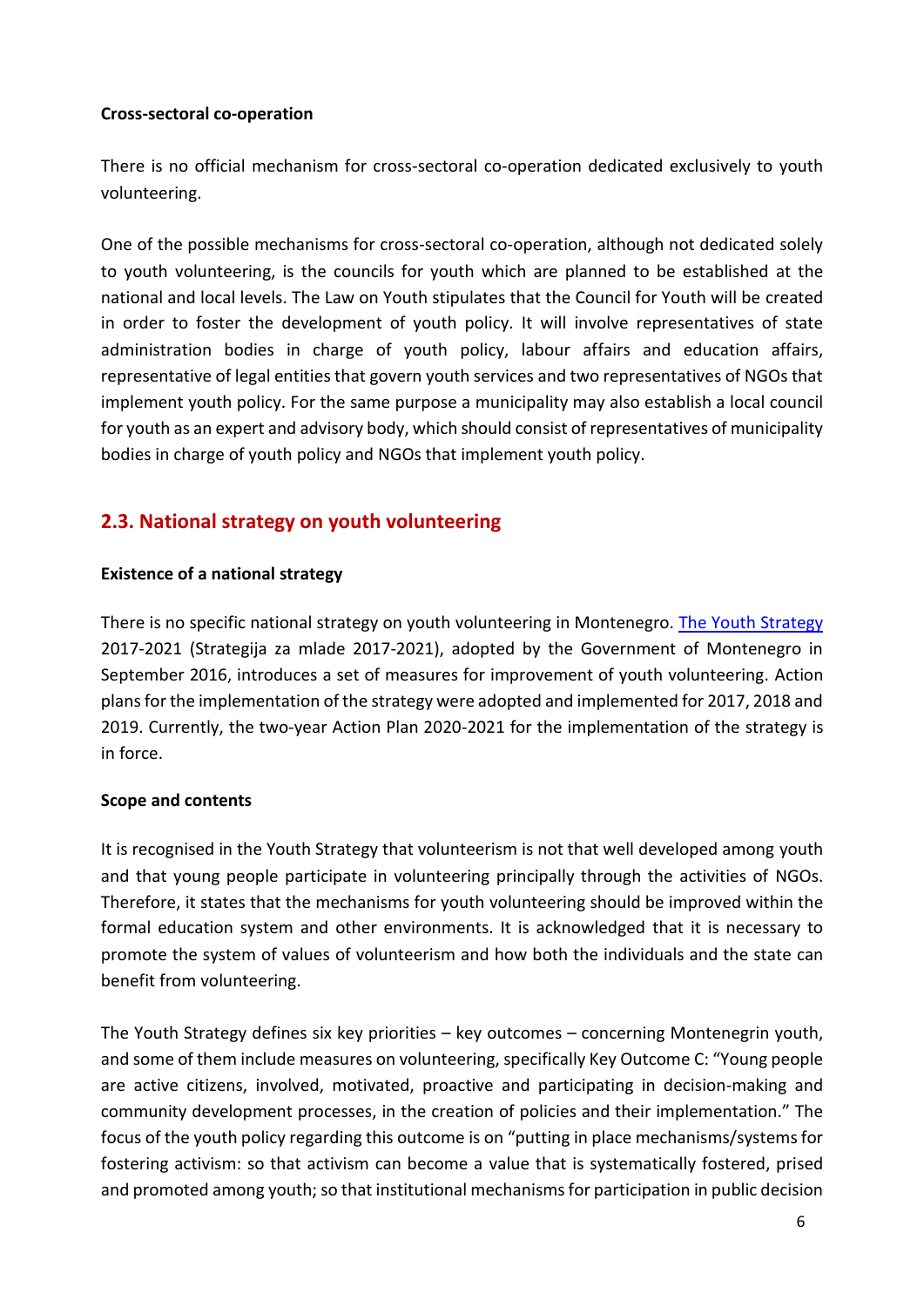#### **Cross-sectoral co-operation**

There is no official mechanism for cross-sectoral co-operation dedicated exclusively to youth volunteering.

One of the possible mechanisms for cross-sectoral co-operation, although not dedicated solely to youth volunteering, is the councils for youth which are planned to be established at the national and local levels. The Law on Youth stipulates that the Council for Youth will be created in order to foster the development of youth policy. It will involve representatives of state administration bodies in charge of youth policy, labour affairs and education affairs, representative of legal entities that govern youth services and two representatives of NGOs that implement youth policy. For the same purpose a municipality may also establish a local council for youth as an expert and advisory body, which should consist of representatives of municipality bodies in charge of youth policy and NGOs that implement youth policy.

## <span id="page-5-0"></span>**2.3. National strategy on youth volunteering**

#### **Existence of a national strategy**

There is no specific national strategy on youth volunteering in Montenegro. The [Youth Strategy](http://www.strategijazamlade.me/download/Strategija%20za%20mlade%20eng.pdf) 2017-2021 (Strategija za mlade 2017-2021), adopted by the Government of Montenegro in September 2016, introduces a set of measures for improvement of youth volunteering. Action plans for the implementation of the strategy were adopted and implemented for 2017, 2018 and 2019. Currently, the two-year Action Plan 2020-2021 for the implementation of the strategy is in force.

#### **Scope and contents**

It is recognised in the Youth Strategy that volunteerism is not that well developed among youth and that young people participate in volunteering principally through the activities of NGOs. Therefore, it states that the mechanisms for youth volunteering should be improved within the formal education system and other environments. It is acknowledged that it is necessary to promote the system of values of volunteerism and how both the individuals and the state can benefit from volunteering.

The Youth Strategy defines six key priorities – key outcomes – concerning Montenegrin youth, and some of them include measures on volunteering, specifically Key Outcome C: "Young people are active citizens, involved, motivated, proactive and participating in decision-making and community development processes, in the creation of policies and their implementation." The focus of the youth policy regarding this outcome is on "putting in place mechanisms/systems for fostering activism: so that activism can become a value that is systematically fostered, prised and promoted among youth; so that institutional mechanisms for participation in public decision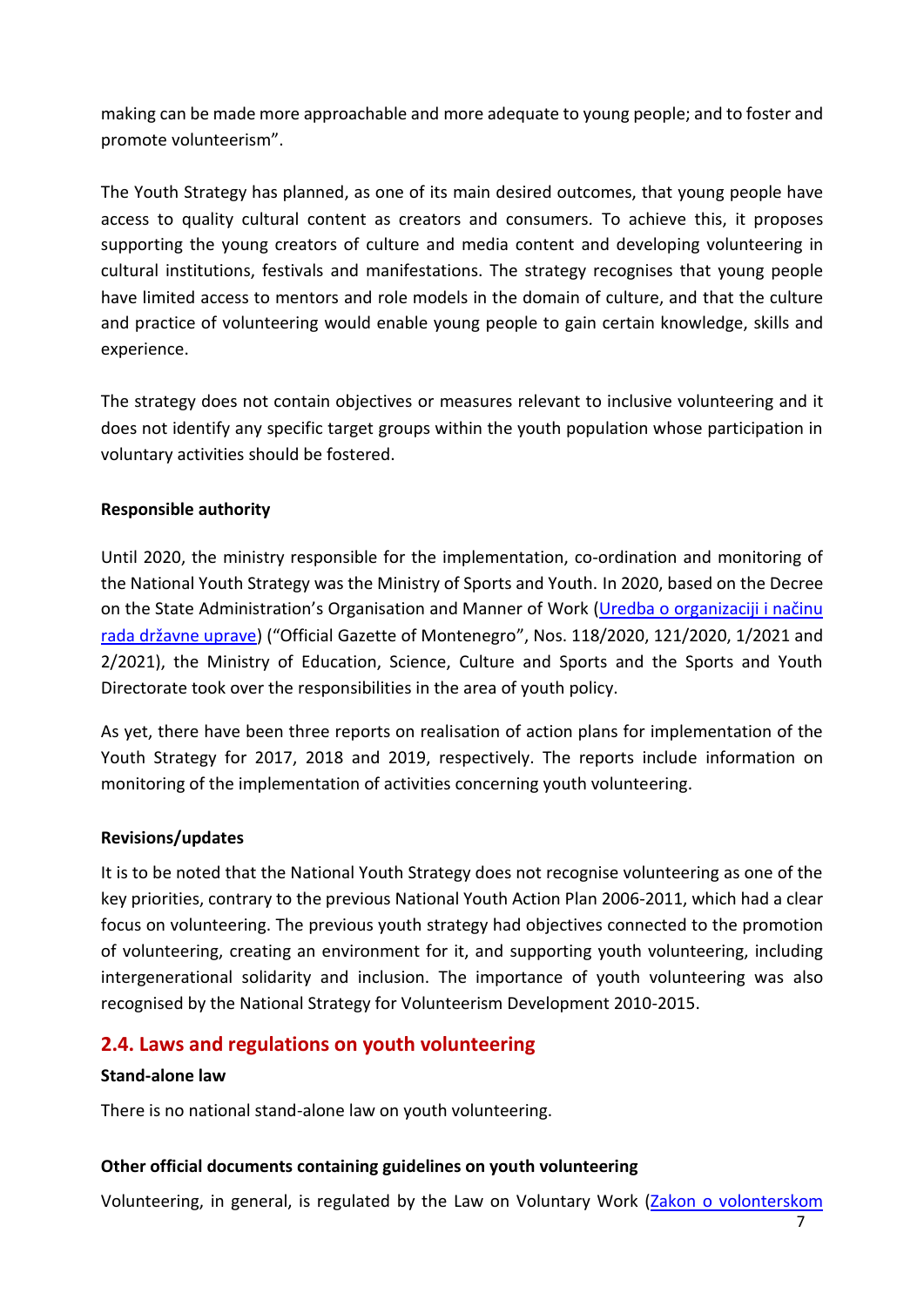making can be made more approachable and more adequate to young people; and to foster and promote volunteerism".

The Youth Strategy has planned, as one of its main desired outcomes, that young people have access to quality cultural content as creators and consumers*.* To achieve this, it proposes supporting the young creators of culture and media content and developing volunteering in cultural institutions, festivals and manifestations. The strategy recognises that young people have limited access to mentors and role models in the domain of culture, and that the culture and practice of volunteering would enable young people to gain certain knowledge, skills and experience.

The strategy does not contain objectives or measures relevant to inclusive volunteering and it does not identify any specific target groups within the youth population whose participation in voluntary activities should be fostered.

#### **Responsible authority**

Until 2020, the ministry responsible for the implementation, co-ordination and monitoring of the National Youth Strategy was the Ministry of Sports and Youth. In 2020, based on the Decree on the State Administration's Organisation and Manner of Work ([Uredba o organizaciji i način](https://www.gov.me/dokumenta/091d5e55-3917-4d7f-b30f-6faa2ae292e4)u [rada državne uprave](https://www.gov.me/dokumenta/091d5e55-3917-4d7f-b30f-6faa2ae292e4)) ("Official Gazette of Montenegro", Nos. 118/2020, 121/2020, 1/2021 and 2/2021), the Ministry of Education, Science, Culture and Sports and the Sports and Youth Directorate took over the responsibilities in the area of youth policy.

As yet, there have been three reports on realisation of action plans for implementation of the Youth Strategy for 2017, 2018 and 2019, respectively. The reports include information on monitoring of the implementation of activities concerning youth volunteering.

#### **Revisions/updates**

It is to be noted that the National Youth Strategy does not recognise volunteering as one of the key priorities, contrary to the previous National Youth Action Plan 2006-2011, which had a clear focus on volunteering. The previous youth strategy had objectives connected to the promotion of volunteering, creating an environment for it, and supporting youth volunteering, including intergenerational solidarity and inclusion. The importance of youth volunteering was also recognised by the National Strategy for Volunteerism Development 2010-2015.

## <span id="page-6-0"></span>**2.4. Laws and regulations on youth volunteering**

#### **Stand-alone law**

There is no national stand-alone law on youth volunteering.

## **Other official documents containing guidelines on youth volunteering**

Volunteering, in general, is regulated by the Law on Voluntary Work (Zakon o volonterskom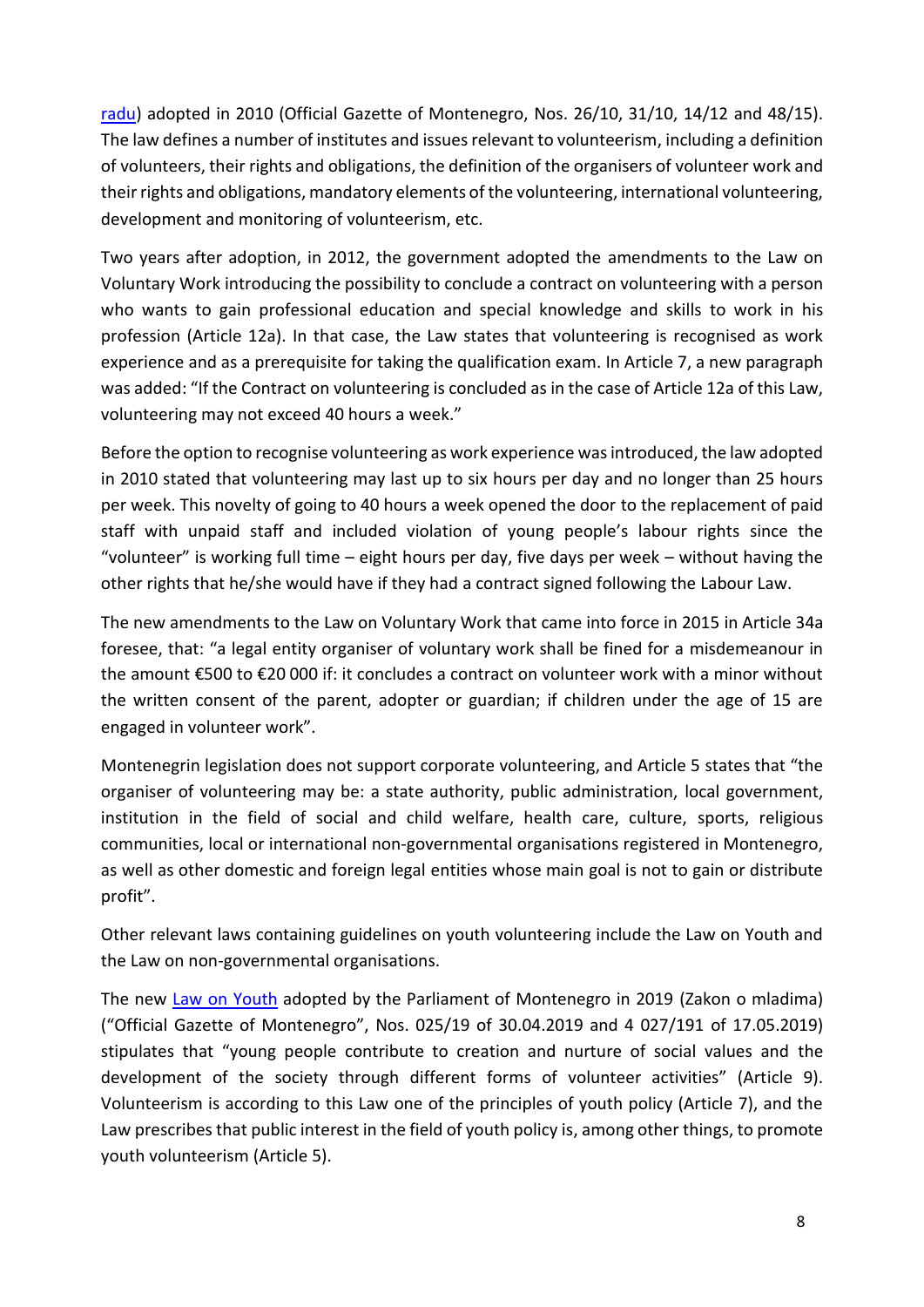[radu\)](https://www.zzzcg.me/wp-content/uploads/2015/05/Zakon-o-volonterskom-radu.pdf) adopted in 2010 (Official Gazette of Montenegro, Nos. 26/10, 31/10, 14/12 and 48/15). The law defines a number of institutes and issues relevant to volunteerism, including a definition of volunteers, their rights and obligations, the definition of the organisers of volunteer work and their rights and obligations, mandatory elements of the volunteering, international volunteering, development and monitoring of volunteerism, etc.

Two years after adoption, in 2012, the government adopted the amendments to the Law on Voluntary Work introducing the possibility to conclude a contract on volunteering with a person who wants to gain professional education and special knowledge and skills to work in his profession (Article 12a). In that case, the Law states that volunteering is recognised as work experience and as a prerequisite for taking the qualification exam. In Article 7, a new paragraph was added: "If the Contract on volunteering is concluded as in the case of Article 12a of this Law, volunteering may not exceed 40 hours a week."

Before the option to recognise volunteering as work experience was introduced, the law adopted in 2010 stated that volunteering may last up to six hours per day and no longer than 25 hours per week. This novelty of going to 40 hours a week opened the door to the replacement of paid staff with unpaid staff and included violation of young people's labour rights since the "volunteer" is working full time – eight hours per day, five days per week – without having the other rights that he/she would have if they had a contract signed following the Labour Law.

The new [amendments to the L](http://bit.ly/2vI6UyF)aw on Voluntary Work that came into force in 2015 in Article 34a foresee, that: "a legal entity organiser of voluntary work shall be fined for a misdemeanour in the amount €500 to €20 000 if: it concludes a contract on volunteer work with a minor without the written consent of the parent, adopter or guardian; if children under the age of 15 are engaged in volunteer work".

Montenegrin legislation does not support corporate volunteering, and Article 5 states that "the organiser of volunteering may be: a state authority, public administration, local government, institution in the field of social and child welfare, health care, culture, sports, religious communities, local or international non-governmental organisations registered in Montenegro, as well as other domestic and foreign legal entities whose main goal is not to gain or distribute profit".

Other relevant laws containing guidelines on youth volunteering include the Law on Youth and the Law on non-governmental organisations.

The new [Law on Youth](http://www.gov.me/biblioteka) adopted by the Parliament of Montenegro in 2019 (Zakon o mladima) ("Official Gazette of Montenegro", Nos. 025/19 of 30.04.2019 and 4 027/191 of 17.05.2019) stipulates that "young people contribute to creation and nurture of social values and the development of the society through different forms of volunteer activities" (Article 9). Volunteerism is according to this Law one of the principles of youth policy (Article 7), and the Law prescribes that public interest in the field of youth policy is, among other things, to promote youth volunteerism (Article 5).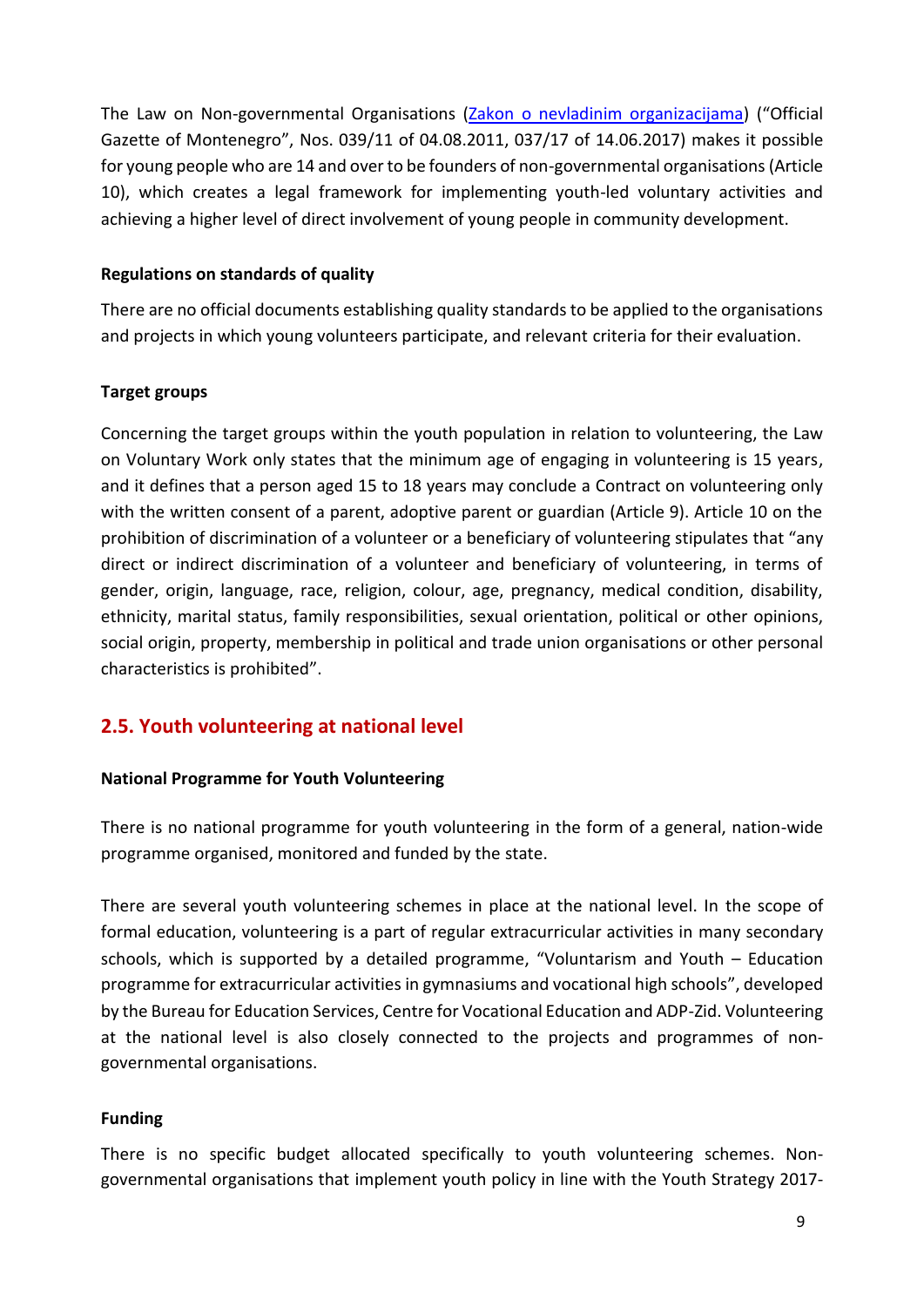The Law on Non-governmental Organisations [\(Zakon o nevladinim organizacijama\)](https://www.paragraf.me/propisi-crnegore/zakon-o-nevladinim-organizacijama.html) ("Official Gazette of Montenegro", Nos. 039/11 of 04.08.2011, 037/17 of 14.06.2017) makes it possible for young people who are 14 and over to be founders of non-governmental organisations(Article 10), which creates a legal framework for implementing youth-led voluntary activities and achieving a higher level of direct involvement of young people in community development.

#### **Regulations on standards of quality**

There are no official documents establishing quality standards to be applied to the organisations and projects in which young volunteers participate, and relevant criteria for their evaluation.

#### **Target groups**

Concerning the target groups within the youth population in relation to volunteering, the Law on Voluntary Work only states that the minimum age of engaging in volunteering is 15 years, and it defines that a person aged 15 to 18 years may conclude a Contract on volunteering only with the written consent of a parent, adoptive parent or guardian (Article 9). Article 10 on the prohibition of discrimination of a volunteer or a beneficiary of volunteering stipulates that "any direct or indirect discrimination of a volunteer and beneficiary of volunteering, in terms of gender, origin, language, race, religion, colour, age, pregnancy, medical condition, disability, ethnicity, marital status, family responsibilities, sexual orientation, political or other opinions, social origin, property, membership in political and trade union organisations or other personal characteristics is prohibited".

## <span id="page-8-0"></span>**2.5. Youth volunteering at national level**

#### **National Programme for Youth Volunteering**

There is no national programme for youth volunteering in the form of a general, nation-wide programme organised, monitored and funded by the state.

There are several youth volunteering schemes in place at the national level. In the scope of formal education, volunteering is a part of regular extracurricular activities in many secondary schools, which is supported by a detailed programme, "Voluntarism and Youth – Education programme for extracurricular activities in gymnasiums and vocational high schools", developed by the Bureau for Education Services, Centre for Vocational Education and ADP-Zid. Volunteering at the national level is also closely connected to the projects and programmes of nongovernmental organisations.

#### **Funding**

There is no specific budget allocated specifically to youth volunteering schemes. Nongovernmental organisations that implement youth policy in line with the Youth Strategy 2017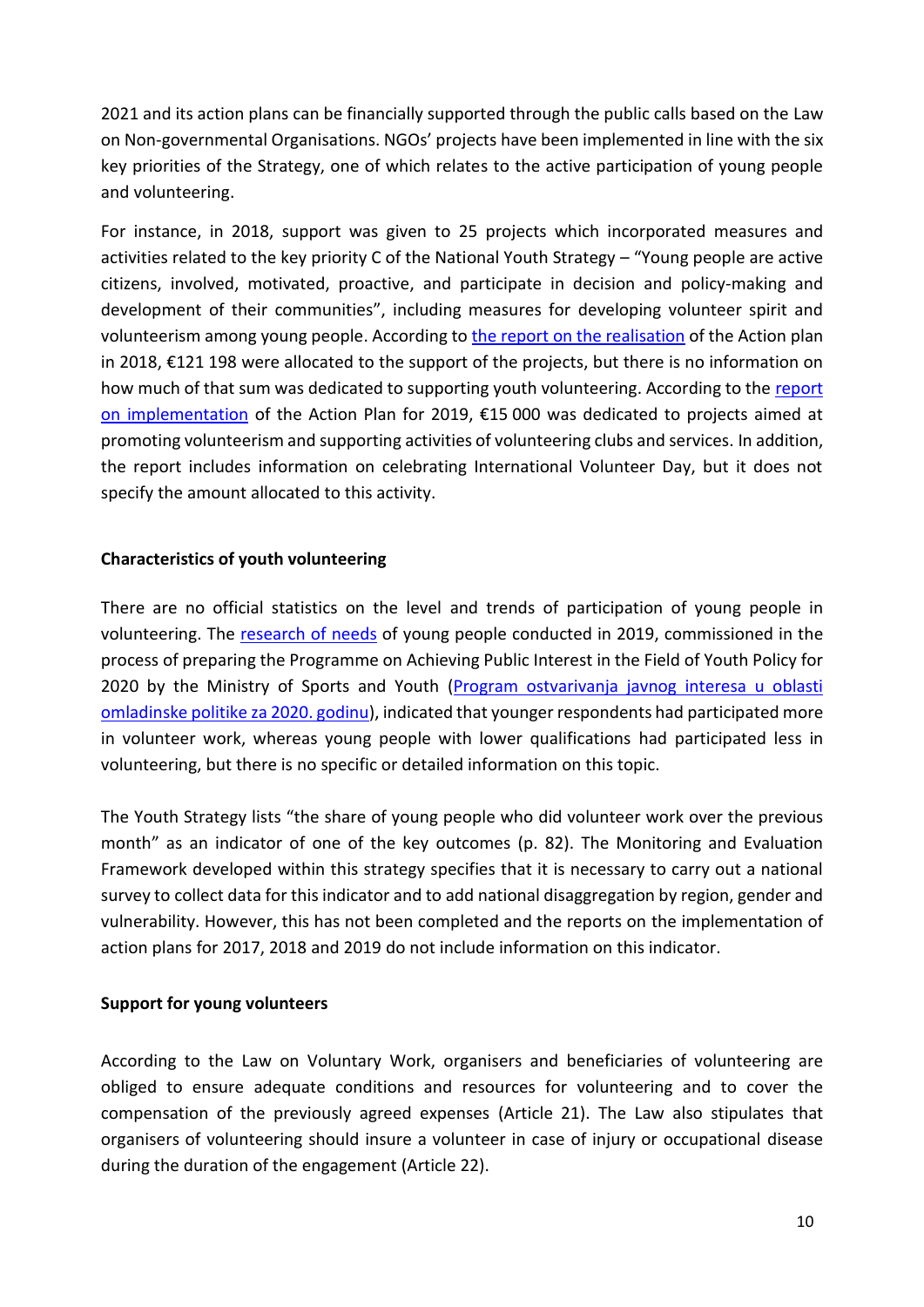2021 and its action plans can be financially supported through the public calls based on the Law on Non-governmental Organisations. NGOs' projects have been implemented in line with the six key priorities of the Strategy, one of which relates to the active participation of young people and volunteering.

For instance, in 2018, support was given to 25 projects which incorporated measures and activities related to the key priority C of the National Youth Strategy – "Young people are active citizens, involved, motivated, proactive, and participate in decision and policy-making and development of their communities", including measures for developing volunteer spirit and volunteerism among young people. According to [the report on the realisation](https://www.gov.me/dokumenta/208a7cc3-bbaa-46d4-b3e1-9d69612a9eab) of the Action plan in 2018, €121 198 were allocated to the support of the projects, but there is no information on how much of that sum was dedicated to supporting youth volunteering. According to the report [on implementation](https://www.gov.me/dokumenta/63e7e1fe-cfbb-48bd-b4c9-a515128bdbfd) of the Action Plan for 2019, €15 000 was dedicated to projects aimed at promoting volunteerism and supporting activities of volunteering clubs and services. In addition, the report includes information on celebrating International Volunteer Day, but it does not specify the amount allocated to this activity.

#### **Characteristics of youth volunteering**

There are no official statistics on the level and trends of participation of young people in volunteering. The [research of needs](https://www.gov.me/dokumenta/1aed3958-fbfa-4310-86e0-a7d56855a1c8) of young people conducted in 2019, commissioned in the process of preparing the Programme on Achieving Public Interest in the Field of Youth Policy for 2020 by the Ministry of Sports and Youth (Program ostvarivanja javnog interesa u oblasti [omladinske politike za 2020. godinu\)](https://www.gov.me/dokumenta/3171abd0-3cfa-4a5e-a852-5b66107b8a51), indicated that younger respondents had participated more in volunteer work, whereas young people with lower qualifications had participated less in volunteering, but there is no specific or detailed information on this topic.

The Youth Strategy lists "the share of young people who did volunteer work over the previous month" as an indicator of one of the key outcomes (p. 82). The Monitoring and Evaluation Framework developed within this strategy specifies that it is necessary to carry out a national survey to collect data for this indicator and to add national disaggregation by region, gender and vulnerability. However, this has not been completed and the reports on the implementation of action plans for 2017, 2018 and 2019 do not include information on this indicator.

#### **Support for young volunteers**

According to the Law on Voluntary Work, organisers and beneficiaries of volunteering are obliged to ensure adequate conditions and resources for volunteering and to cover the compensation of the previously agreed expenses (Article 21). The Law also stipulates that organisers of volunteering should insure a volunteer in case of injury or occupational disease during the duration of the engagement (Article 22).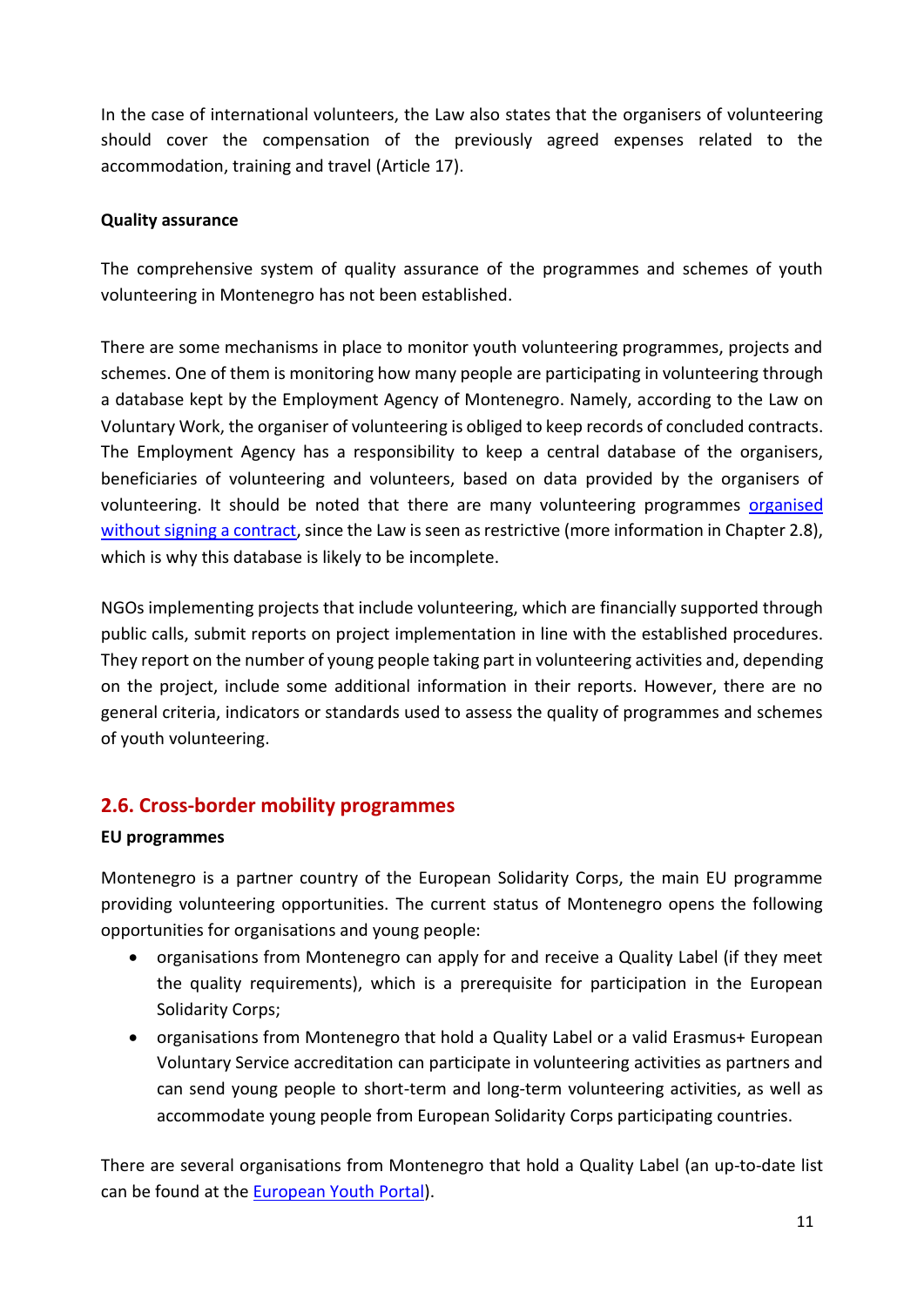In the case of international volunteers, the Law also states that the organisers of volunteering should cover the compensation of the previously agreed expenses related to the accommodation, training and travel (Article 17).

### **Quality assurance**

The comprehensive system of quality assurance of the programmes and schemes of youth volunteering in Montenegro has not been established.

There are some mechanisms in place to monitor youth volunteering programmes, projects and schemes. One of them is monitoring how many people are participating in volunteering through a database kept by the Employment Agency of Montenegro. Namely, according to the Law on Voluntary Work, the organiser of volunteering is obliged to keep records of concluded contracts. The Employment Agency has a responsibility to keep a central database of the organisers, beneficiaries of volunteering and volunteers, based on data provided by the organisers of volunteering. It should be noted that there are many volunteering programmes [organised](https://monitoringmatrix.net/regional-findings/2016-2/)  without [signing a contract,](https://monitoringmatrix.net/regional-findings/2016-2/) since the Law is seen as restrictive (more information in Chapter 2.8), which is why this database is likely to be incomplete.

NGOs implementing projects that include volunteering, which are financially supported through public calls, submit reports on project implementation in line with the established procedures. They report on the number of young people taking part in volunteering activities and, depending on the project, include some additional information in their reports. However, there are no general criteria, indicators or standards used to assess the quality of programmes and schemes of youth volunteering.

# <span id="page-10-0"></span>**2.6. Cross-border mobility programmes**

## **EU programmes**

Montenegro is a partner country of the European Solidarity Corps, the main EU programme providing volunteering opportunities. The current status of Montenegro opens the following opportunities for organisations and young people:

- organisations from Montenegro can apply for and receive a Quality Label (if they meet the quality requirements), which is a prerequisite for participation in the European Solidarity Corps;
- organisations from Montenegro that hold a Quality Label or a valid Erasmus+ European Voluntary Service accreditation can participate in volunteering activities as partners and can send young people to short-term and long-term volunteering activities, as well as accommodate young people from European Solidarity Corps participating countries.

There are several organisations from Montenegro that hold a Quality Label (an up-to-date list can be found at the **European Youth Portal**).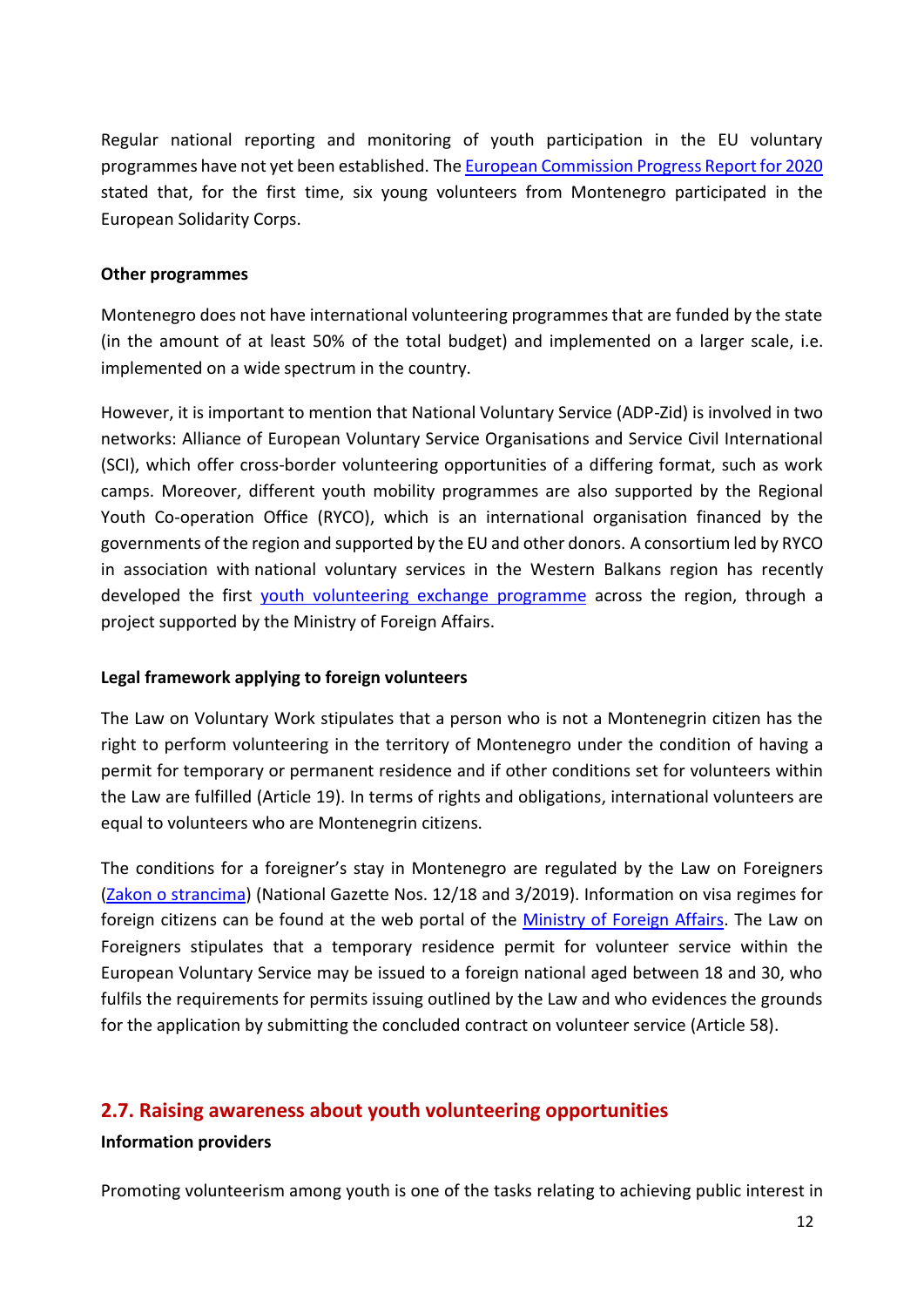Regular national reporting and monitoring of youth participation in the EU voluntary programmes have not yet been established. Th[e European Commission Progress Report for 2020](https://ec.europa.eu/neighbourhood-enlargement/system/files/2020-10/montenegro_report_2020.pdf) stated that, for the first time, six young volunteers from Montenegro participated in the European Solidarity Corps.

#### **Other programmes**

Montenegro does not have international volunteering programmes that are funded by the state (in the amount of at least 50% of the total budget) and implemented on a larger scale, i.e. implemented on a wide spectrum in the country.

However, it is important to mention that National Voluntary Service (ADP-Zid) is involved in two networks: [Alliance of](http://www.alliance-network.eu/) [European Voluntary Service Organisations](http://www.alliance-network.eu/) and Service Civil International (SCI), which offer cross-border volunteering opportunities of a differing format, such as work camps. Moreover, different youth mobility programmes are also supported by the Regional Youth Co-operation Office (RYCO), which is an international organisation financed by the governments of the region and supported by the EU and other donors. A consortium led by RYCO in association with national voluntary services in the Western Balkans region has recently developed the first [youth volunteering exchange programm](http://www.routewb6.org/)e across the region, through a project supported by the Ministry of Foreign Affairs.

#### **Legal framework applying to foreign volunteers**

The Law on Voluntary Work stipulates that a person who is not a Montenegrin citizen has the right to perform volunteering in the territory of Montenegro under the condition of having a permit for temporary or permanent residence and if other conditions set for volunteers within the Law are fulfilled (Article 19). In terms of rights and obligations, international volunteers are equal to volunteers who are Montenegrin citizens.

The conditions for a foreigner's stay in Montenegro are regulated by the Law on Foreigners [\(Zakon o strancima\)](https://www.gov.me/dokumenta/44ac7962-af17-4e50-8caa-70dc37fd0df6) (National Gazette Nos. 12/18 and 3/2019). Information on visa regimes for foreign citizens can be found at the web portal of the [Ministry of Foreign Affairs.](http://www.gov.me/en/diplomatic-missions/embassies-and-consulates-of-montenegro) The Law on Foreigners stipulates that a temporary residence permit for volunteer service within the European Voluntary Service may be issued to a foreign national aged between 18 and 30, who fulfils the requirements for permits issuing outlined by the Law and who evidences the grounds for the application by submitting the concluded contract on volunteer service (Article 58).

## <span id="page-11-0"></span>**2.7. Raising awareness about youth volunteering opportunities**

#### **Information providers**

Promoting volunteerism among youth is one of the tasks relating to achieving public interest in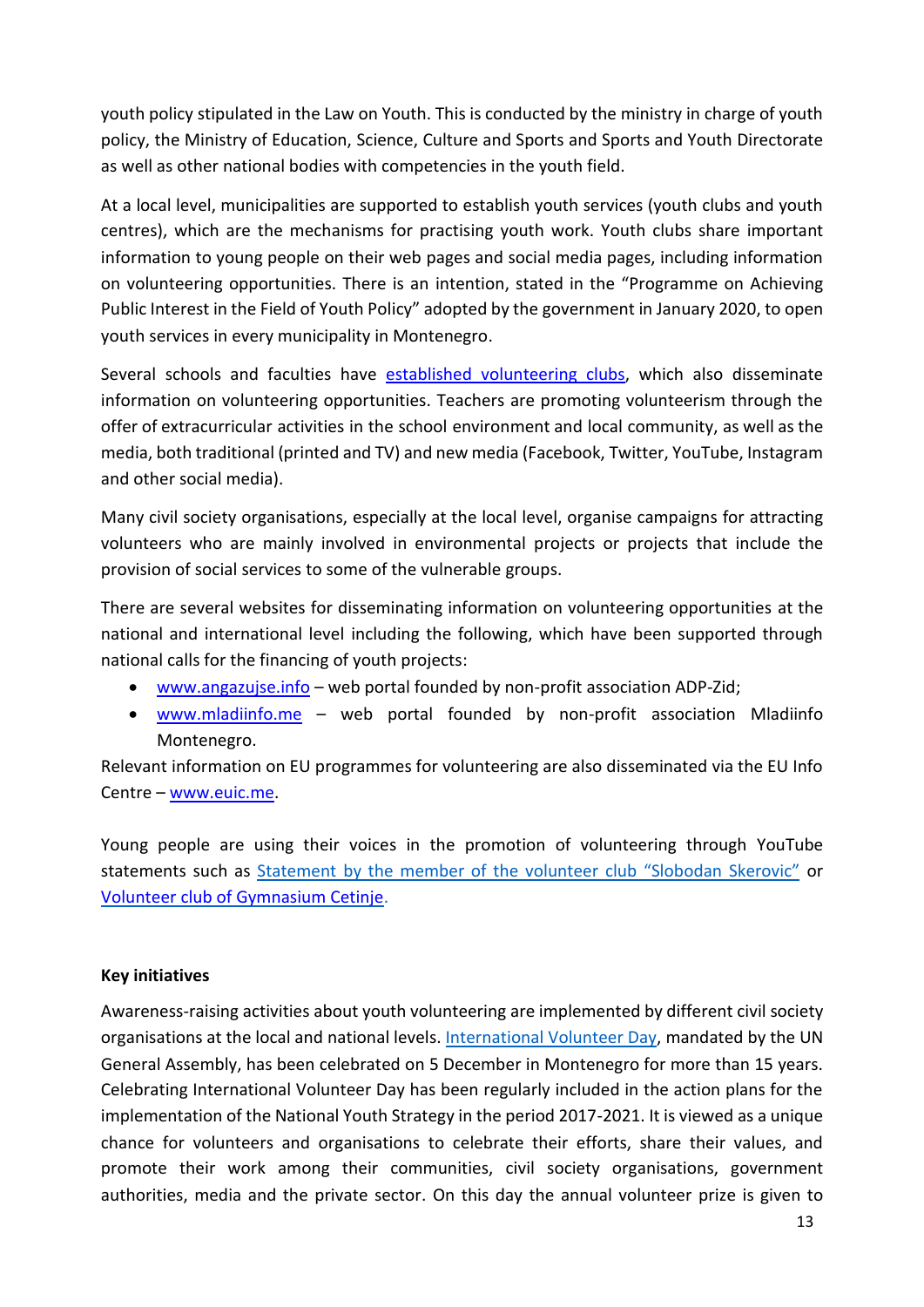youth policy stipulated in the Law on Youth. This is conducted by the ministry in charge of youth policy, the Ministry of Education, Science, Culture and Sports and Sports and Youth Directorate as well as other national bodies with competencies in the youth field.

At a local level, municipalities are supported to establish youth services (youth clubs and youth centres), which are the mechanisms for practising youth work. Youth clubs share important information to young people on their web pages and social media pages, including information on volunteering opportunities. There is an intention, stated in the "Programme on Achieving Public Interest in the Field of Youth Policy" adopted by the government in January 2020, to open youth services in every municipality in Montenegro.

Several schools and faculties have [established volunteering clubs,](http://zid.org.me/adpzid/publikacije/item/1181-volonterizam-u-crnoj-gori) which also disseminate information on volunteering opportunities. Teachers are promoting volunteerism through the offer of extracurricular activities in the school environment and local community, as well as the media, both traditional (printed and TV) and new media (Facebook, Twitter, YouTube, Instagram and other social media).

Many civil society organisations, especially at the local level, organise campaigns for attracting volunteers who are mainly involved in environmental projects or projects that include the provision of social services to some of the vulnerable groups.

There are several websites for disseminating information on volunteering opportunities at the national and international level including the following, which have been supported through national calls for the financing of youth projects:

- [www.angazujse.info](http://www.angazujse.info/) web portal founded by non-profit association ADP-Zid;
- [www.mladiinfo.me](http://www.mladiinfo.me/) web portal founded by non-profit association Mladiinfo Montenegro.

Relevant information on EU programmes for volunteering are also disseminated via the EU Info Centre – [www.euic.me.](http://www.euic.me/)

Young people are using their voices in the promotion of volunteering through YouTube statements such as [Statement](https://www.youtube.com/watch?v=sFfeG9-6LwY) by the member of the volunteer club "Slobodan Skerovic" or [Volunteer club of Gymnasium Cetinje.](https://www.youtube.com/watch?v=tM3-L2eFkJI)

#### **Key initiatives**

Awareness-raising activities about youth volunteering are implemented by different civil society organisations at the local and national levels. [International](http://www.un.org/en/events/volunteerday/) Volunteer Day, mandated by the UN General Assembly, has been celebrated on 5 December in Montenegro for more than 15 years. Celebrating International Volunteer Day has been regularly included in the action plans for the implementation of the National Youth Strategy in the period 2017-2021. It is viewed as a unique chance for volunteers and organisations to celebrate their efforts, share their values, and promote their work among their communities, civil society organisations, government authorities, media and the private sector. On this day the annual volunteer prize is given to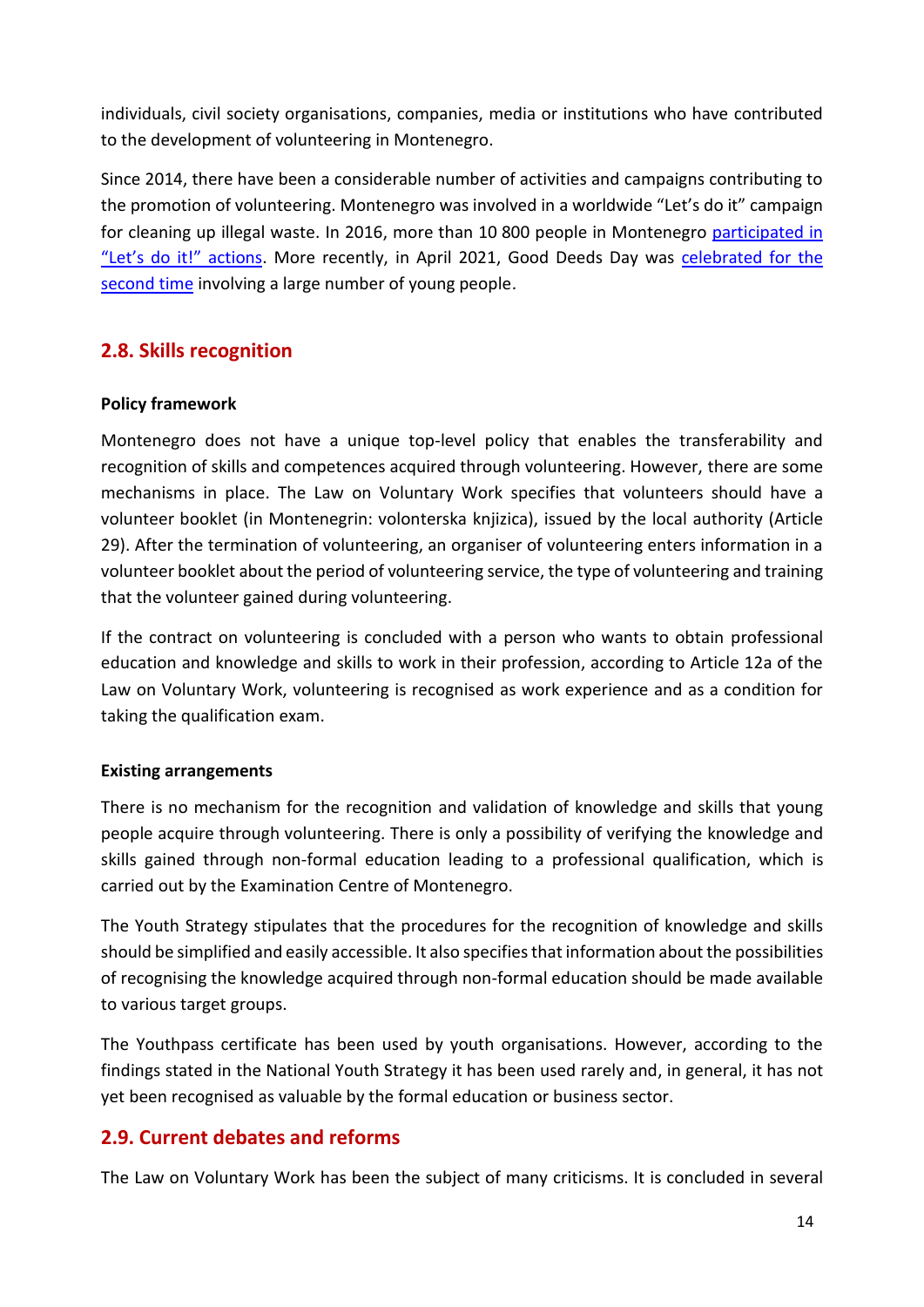individuals, civil society organisations, companies, media or institutions who have contributed to the development of volunteering in Montenegro.

Since 2014, there have been a considerable number of activities and campaigns contributing to the promotion of volunteering. Montenegro was involved in a worldwide "Let's do it" campaign for cleaning up illegal waste. In 2016, more than 10 800 people in Montenegro participated in ["Let's do it!" actions](https://estonianworld.com/life/2-7-million-people-take-part-lets-cleaning-campaigns-across-europe/). More recently, in April 2021, Good Deeds Day was celebrated for the [second time](http://www.zid.org.me/component/k2/item/1624-dan-dobrih-djela-09-april-2021-godine) involving a large number of young people.

## <span id="page-13-0"></span>**2.8. Skills recognition**

### **Policy framework**

Montenegro does not have a unique top-level policy that enables the transferability and recognition of skills and competences acquired through volunteering. However, there are some mechanisms in place. The Law on Voluntary Work specifies that volunteers should have a volunteer booklet (in Montenegrin: volonterska knjizica), issued by the local authority (Article 29). After the termination of volunteering, an organiser of volunteering enters information in a volunteer booklet about the period of volunteering service, the type of volunteering and training that the volunteer gained during volunteering.

If the contract on volunteering is concluded with a person who wants to obtain professional education and knowledge and skills to work in their profession, according to Article 12a of the Law on Voluntary Work, volunteering is recognised as work experience and as a condition for taking the qualification exam.

#### **Existing arrangements**

There is no mechanism for the recognition and validation of knowledge and skills that young people acquire through volunteering. There is only a possibility of verifying the knowledge and skills gained through non-formal education leading to a professional qualification, which is carried out by the Examination Centre of Montenegro.

The Youth Strategy stipulates that the procedures for the recognition of knowledge and skills should be simplified and easily accessible. It also specifies that information about the possibilities of recognising the knowledge acquired through non-formal education should be made available to various target groups.

The Youthpass certificate has been used by youth organisations. However, according to the findings stated in the National Youth Strategy it has been used rarely and, in general, it has not yet been recognised as valuable by the formal education or business sector.

# <span id="page-13-1"></span>**2.9. Current debates and reforms**

The Law on Voluntary Work has been the subject of many criticisms. It is concluded in several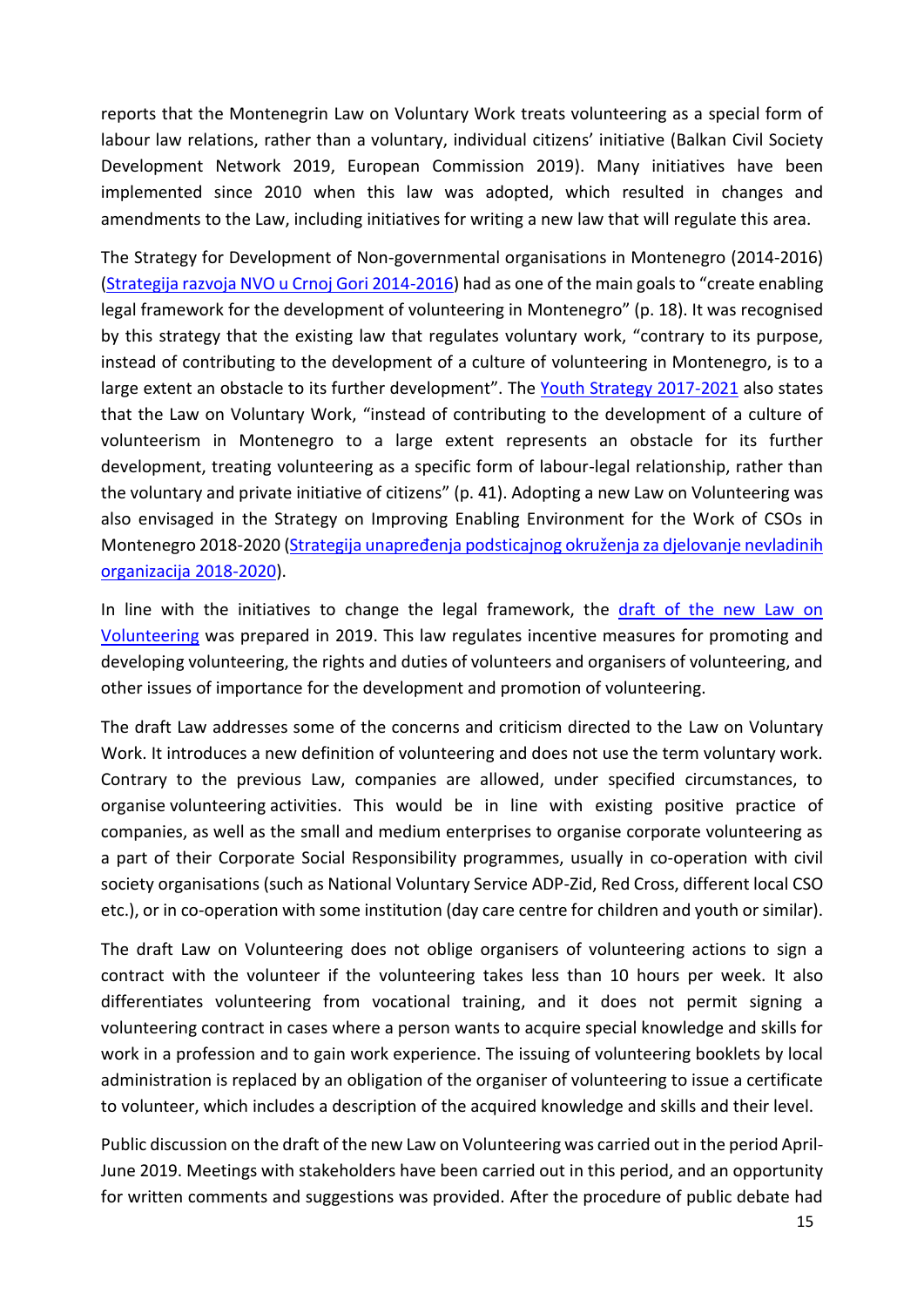reports that the Montenegrin Law on Voluntary Work treats volunteering as a special form of labour law relations, rather than a voluntary, individual citizens' initiative (Balkan Civil Society Development Network 2019, European Commission 2019). Many initiatives have been implemented since 2010 when this law was adopted, which resulted in changes and amendments to the Law, including initiatives for writing a new law that will regulate this area.

The Strategy for Development of Non-governmental organisations in [Montenegro \(2014-2016\)](http://bit.ly/2elxMNN) [\(Strategija razvoja NVO u Crnoj Gori 2014-2016\)](https://www.gov.me/dokumenta/8b369aa2-5e7b-451b-93ca-8e8dd976f7d7) had as one of the main goals to "create enabling legal framework for the development of volunteering in Montenegro" (p. 18). It was recognised by this strategy that the existing law that regulates voluntary work, "contrary to its purpose, instead of contributing to the development of a culture of volunteering in Montenegro, is to a large extent an obstacle to its further development". The [Youth Strategy 2017-2021](http://www.strategijazamlade.me/download/Strategija%20za%20mlade%20eng.pdf) also states that the Law on Voluntary Work, "instead of contributing to the development of a culture of volunteerism in Montenegro to a large extent represents an obstacle for its further development, treating volunteering as a specific form of labour-legal relationship, rather than the voluntary and private initiative of citizens" (p. 41). Adopting a new Law on Volunteering was also envisaged in the Strategy on Improving Enabling Environment for the Work of CSOs in Montenegro 2018-2020 ([Strategija unapređenja podsticajnog okruženja za djelovanje nevladin](https://www.gov.me/dokumenta/c1f02df7-5ad0-4975-ade0-4cc97a90d9d0)ih [organizacija 2018-2020\)](https://www.gov.me/dokumenta/c1f02df7-5ad0-4975-ade0-4cc97a90d9d0).

In line with the initiatives to change the legal framework, the draft of the new Law on [Volunteering](https://www.gov.me/clanak/33-sjednica-vlade-crne-gore-22072021-godine) was prepared in 2019. This law regulates incentive measures for promoting and developing volunteering, the rights and duties of volunteers and organisers of volunteering, and other issues of importance for the development and promotion of volunteering.

The draft Law addresses some of the concerns and criticism directed to the Law on Voluntary Work. It introduces a new definition of volunteering and does not use the term voluntary work. Contrary to the previous Law, companies are allowed, under specified circumstances, to organise volunteering activities. This would be in line with existing positive practice of companies, as well as the small and medium enterprises to organise corporate volunteering as a part of their Corporate Social Responsibility programmes, usually in co-operation with civil society organisations (such as National Voluntary Service ADP-Zid, Red Cross, different local CSO etc.), or in co-operation with some institution (day care centre for children and youth or similar).

The draft Law on Volunteering does not oblige organisers of volunteering actions to sign a contract with the volunteer if the volunteering takes less than 10 hours per week. It also differentiates volunteering from vocational training, and it does not permit signing a volunteering contract in cases where a person wants to acquire special knowledge and skills for work in a profession and to gain work experience. The issuing of volunteering booklets by local administration is replaced by an obligation of the organiser of volunteering to issue a certificate to volunteer, which includes a description of the acquired knowledge and skills and their level.

Public discussion on the draft of the new Law on Volunteering was carried out in the period April-June 2019. Meetings with stakeholders have been carried out in this period, and an opportunity for written comments and suggestions was provided. After the procedure of public debate had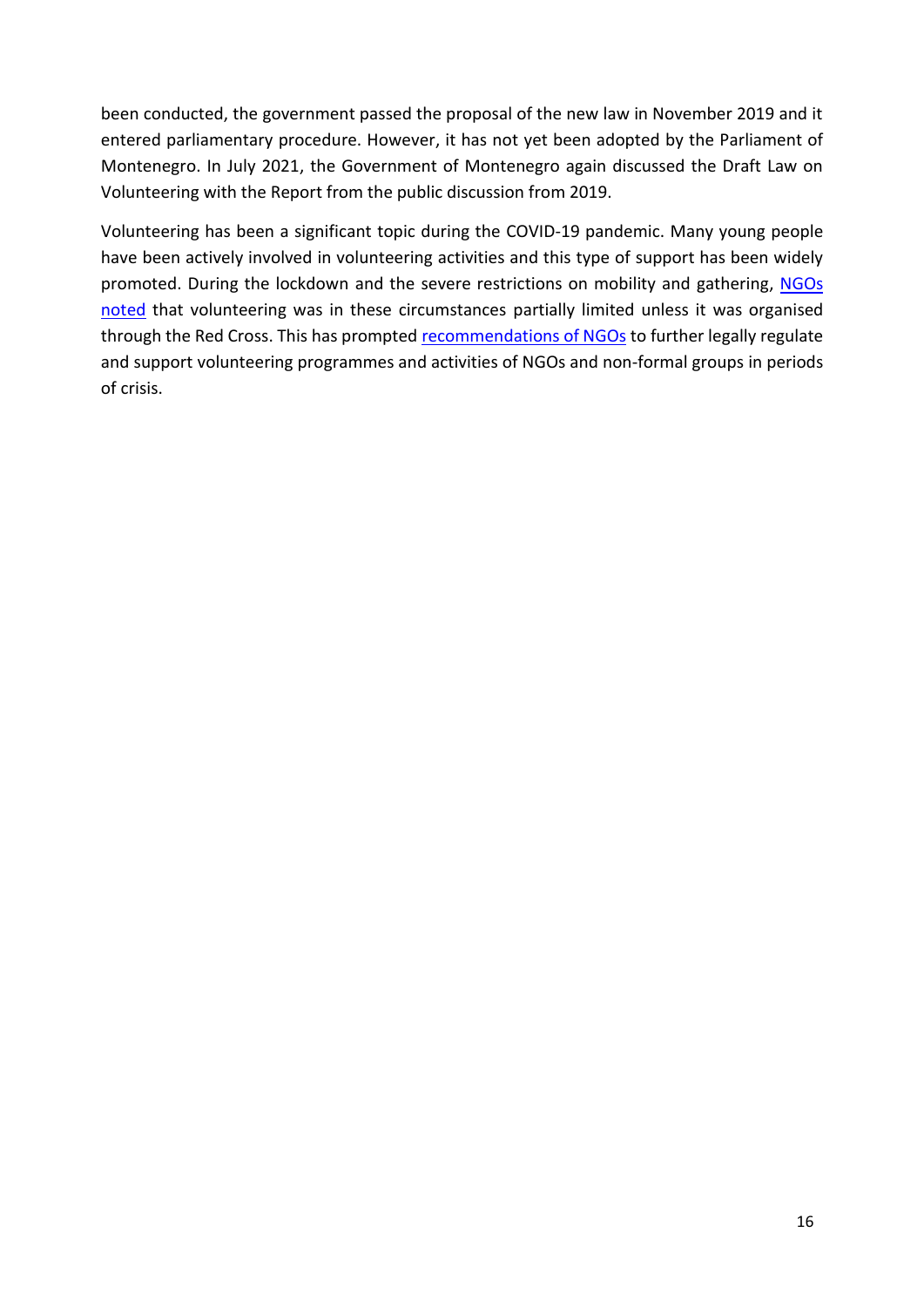been conducted, the government passed the proposal of the new law in November 2019 and it entered parliamentary procedure. However, it has not yet been adopted by the Parliament of Montenegro. In July 2021, the Government of Montenegro again discussed the Draft Law on Volunteering with the Report from the public discussion from 2019.

Volunteering has been a significant topic during the COVID-19 pandemic. Many young people have been actively involved in volunteering activities and this type of support has been widely promoted. During the lockdown and the severe restrictions on mobility and gathering, NGOs [noted](http://zid.mikro.bildhosting.me/eng/mobilnost-mladih/item/1485-prijedlog-za-valorizaciju-gradanskih-volonterskih-inicijativa) that volunteering was in these circumstances partially limited unless it was organised through the Red Cross. This has prompte[d recommendations of NGOs](http://www.seeyn.org/index.php/news/seeyn-news/373-when-youth-save-the-world-zoom-talks-with-youth-sector) to further legally regulate and support volunteering programmes and activities of NGOs and non-formal groups in periods of crisis.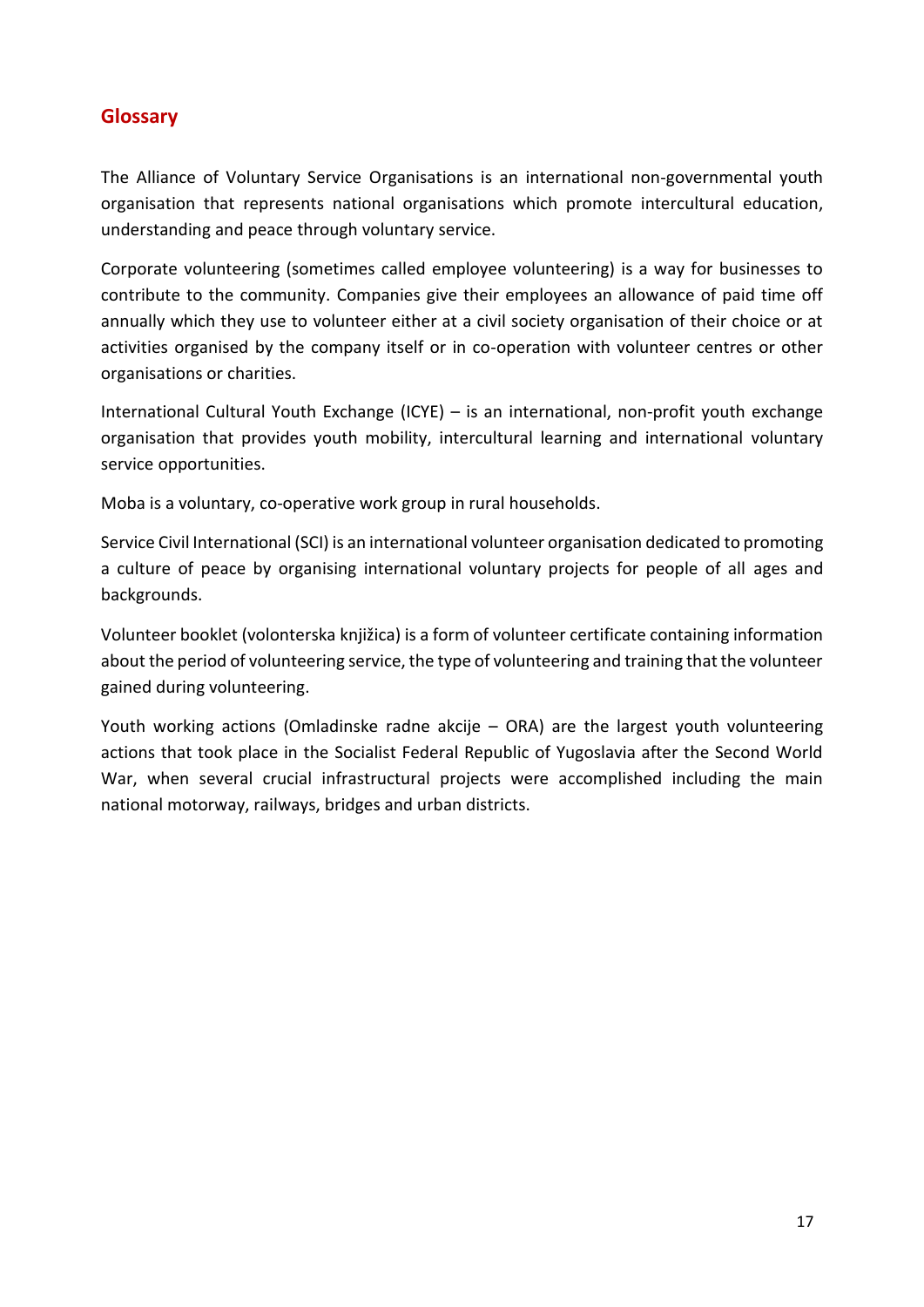## <span id="page-16-0"></span>**Glossary**

The Alliance of Voluntary Service Organisations is an international non-governmental youth organisation that represents national organisations which promote intercultural education, understanding and peace through voluntary service.

Corporate volunteering (sometimes called employee volunteering) is a way for businesses to contribute to the community. Companies give their employees an allowance of paid time off annually which they use to volunteer either at a civil society organisation of their choice or at activities organised by the company itself or in co-operation with volunteer centres or other organisations or charities.

International Cultural Youth Exchange (ICYE) – is an international, non-profit youth exchange organisation that provides youth mobility, intercultural learning and international voluntary service opportunities.

Moba is a voluntary, co-operative work group in rural households.

Service Civil International (SCI) is an international volunteer organisation dedicated to promoting a culture of peace by organising international voluntary projects for people of all ages and backgrounds.

Volunteer booklet (volonterska knjižica) is a form of volunteer certificate containing information about the period of volunteering service, the type of volunteering and training that the volunteer gained during volunteering.

Youth working actions (Omladinske radne akcije – ORA) are the largest youth volunteering actions that took place in the Socialist Federal Republic of Yugoslavia after the Second World War, when several crucial infrastructural projects were accomplished including the main national motorway, railways, bridges and urban districts.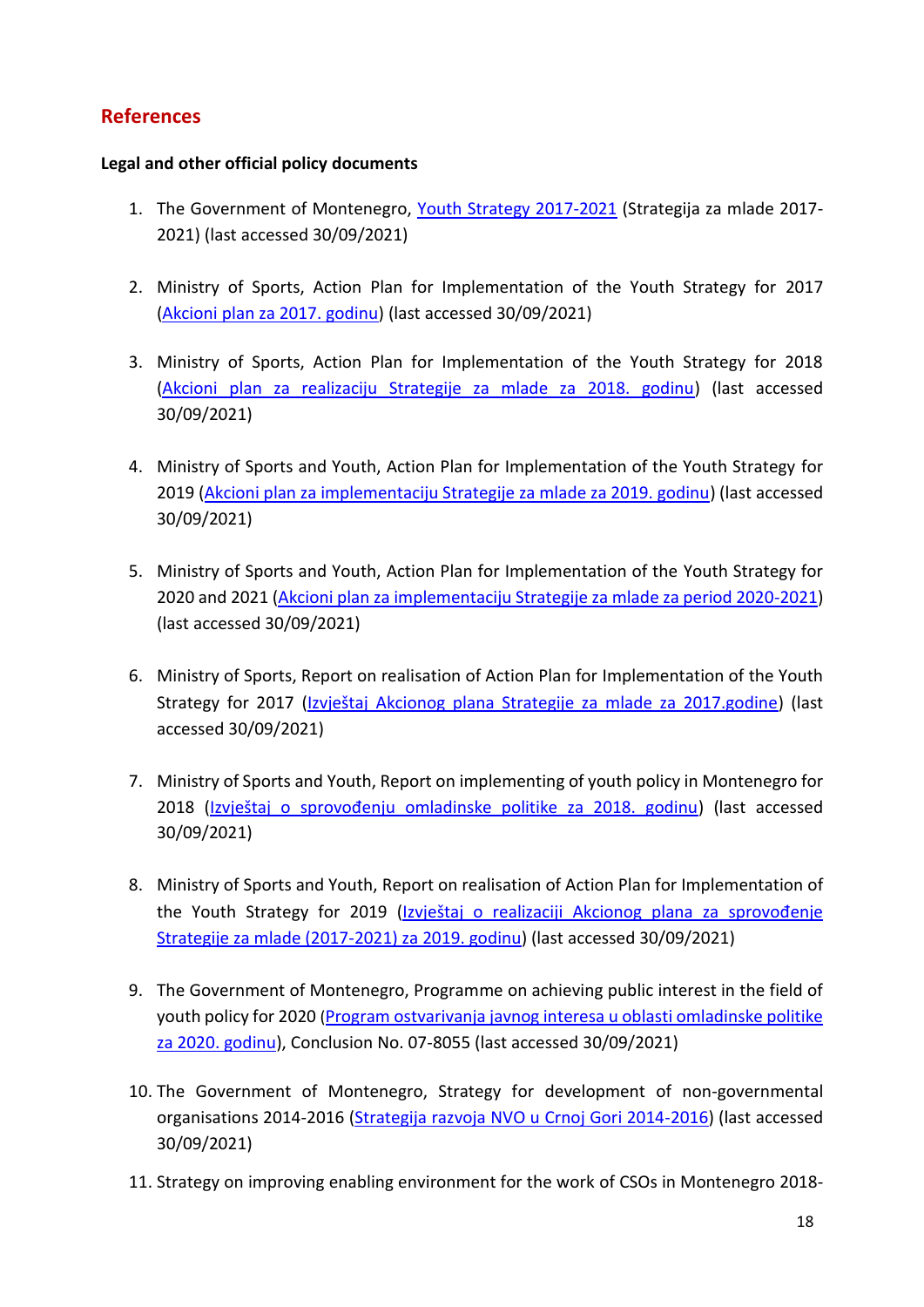# <span id="page-17-0"></span>**References**

#### **Legal and other official policy documents**

- 1. The Government of Montenegro, [Youth Strategy 2017-2021](http://www.strategijazamlade.me/download/Strategija%20za%20mlade%20eng.pdf) (Strategija za mlade 2017-2021) (last accessed 30/09/2021)
- 2. Ministry of Sports, Action Plan for Implementation of the Youth Strategy for 2017 [\(Akcioni plan za 2017. godinu\)](http://www.strategijazamlade.me/) (last accessed 30/09/2021)
- 3. Ministry of Sports, Action Plan for Implementation of the Youth Strategy for 2018 [\(Akcioni plan za realizaciju Strategije za mlade za 2018. godinu\)](https://www.gov.me/dokumenta/efec186c-4098-412e-8863-f15ea334fb68) (last accessed 30/09/2021)
- 4. Ministry of Sports and Youth, Action Plan for Implementation of the Youth Strategy for 2019 [\(Akcioni plan za implementaciju Strategije za mlade za 2019. godinu\)](https://www.gov.me/dokumenta/7216e068-4e26-4452-909a-3ff0d5eadda7) (last accessed 30/09/2021)
- 5. Ministry of Sports and Youth, Action Plan for Implementation of the Youth Strategy for 2020 and 2021 [\(Akcioni plan za implementaciju Strategije za mlade za period 2020-2021\)](http://www.strategijazamlade.me/) (last accessed 30/09/2021)
- 6. Ministry of Sports, Report on realisation of Action Plan for Implementation of the Youth Strategy for 2017 ([Izvještaj Akcionog plana Strategije za mlade za 2017.godine](https://www.gov.me/dokumenta/6da83e73-9bd0-4ccb-801f-731865b60d77)) (last accessed 30/09/2021)
- 7. Ministry of Sports and Youth, Report on implementing of youth policy in Montenegro for 2018 ([Izvještaj o sprovođenju omladinske politike za 2018. godinu](https://www.gov.me/dokumenta/208a7cc3-bbaa-46d4-b3e1-9d69612a9eab)) (last accessed 30/09/2021)
- 8. Ministry of Sports and Youth, Report on realisation of Action Plan for Implementation of the Youth Strategy for 2019 ([Izvještaj o realizaciji Akcionog plana za sprovođenje](https://www.gov.me/dokumenta/63e7e1fe-cfbb-48bd-b4c9-a515128bdbfd)  [Strategije za mlade \(2017-2021\) za 2019. godinu\)](https://www.gov.me/dokumenta/63e7e1fe-cfbb-48bd-b4c9-a515128bdbfd) (last accessed 30/09/2021)
- 9. The Government of Montenegro, Programme on achieving public interest in the field of youth policy for 2020 ([Program ostvarivanja javnog interesa u oblasti omladinske politike](https://www.gov.me/dokumenta/3171abd0-3cfa-4a5e-a852-5b66107b8a51)  [za 2020. godinu\)](https://www.gov.me/dokumenta/3171abd0-3cfa-4a5e-a852-5b66107b8a51), Conclusion No. 07-8055 (last accessed 30/09/2021)
- 10. The Government of Montenegro, Strategy for development of non-governmental organisations 2014-2016 [\(Strategija razvoja NVO u Crnoj Gori 2014-2016\)](https://www.gov.me/dokumenta/8b369aa2-5e7b-451b-93ca-8e8dd976f7d7) (last accessed 30/09/2021)
- 11. Strategy on improving enabling environment for the work of CSOs in Montenegro 2018-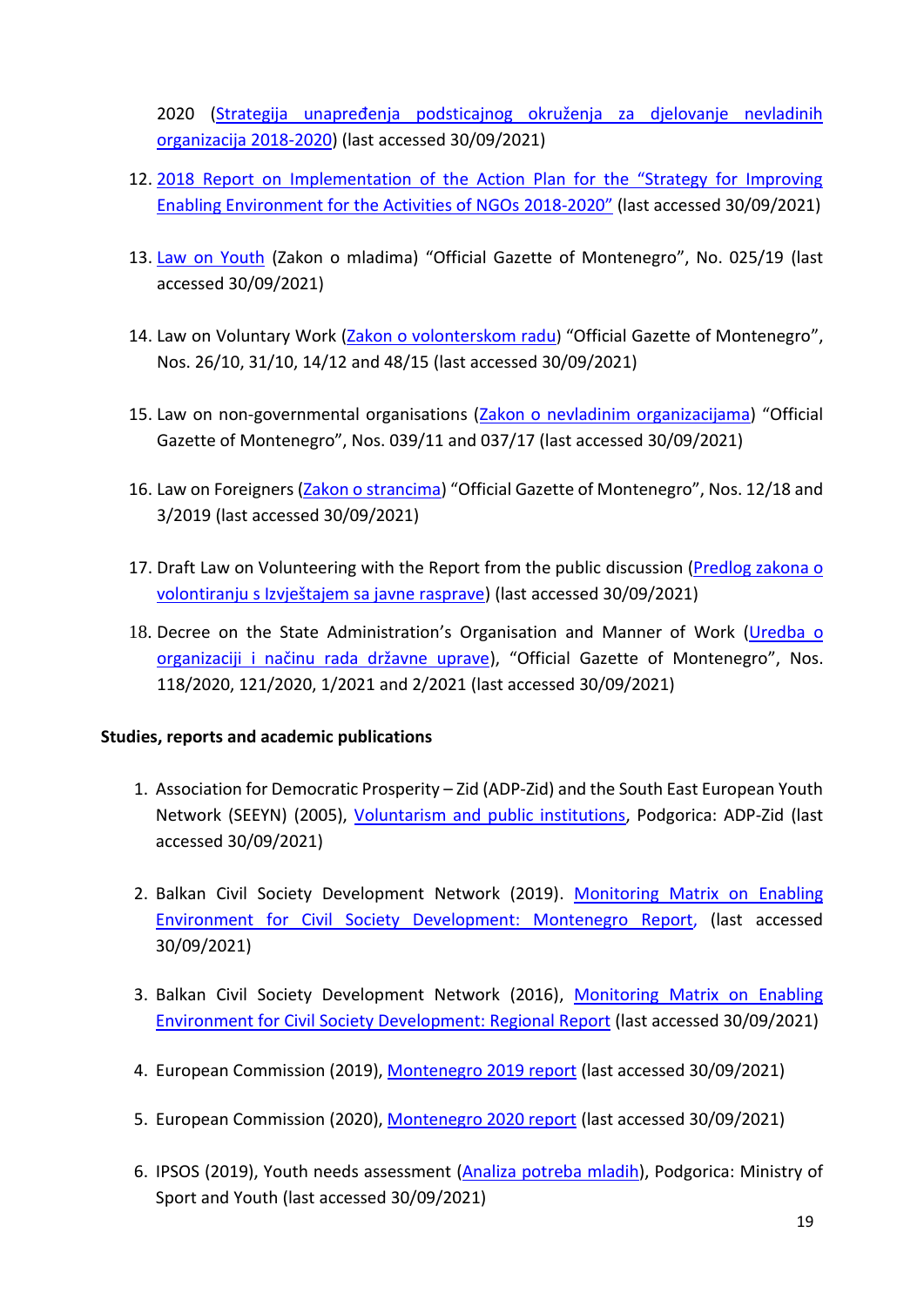2020 ([Strategija unapređenja podsticajnog okruženja za djelovanje nevladinih](https://www.gov.me/dokumenta/c1f02df7-5ad0-4975-ade0-4cc97a90d9d0)  [organizacija 2018-2020\)](https://www.gov.me/dokumenta/c1f02df7-5ad0-4975-ade0-4cc97a90d9d0) (last accessed 30/09/2021)

- 12. [2018 Report on Implementation of the Action Plan for the "Strategy for Improving](https://www.gov.me/dokumenta/1110c53f-e21b-417b-9d36-57474ab05275)  [Enabling Environment for the Activities of NGOs 2018-](https://www.gov.me/dokumenta/1110c53f-e21b-417b-9d36-57474ab05275)2020" (last accessed 30/09/2021)
- 13. [Law on Youth](https://www.gov.me/dokumenta/d2efe191-df35-439c-985c-48b2060eb425) (Zakon o mladima) "Official Gazette of Montenegro", No. 025/19 (last accessed 30/09/2021)
- 14. Law on Voluntary Work [\(Zakon o volonterskom radu](https://www.zzzcg.me/wp-content/uploads/2015/05/Zakon-o-volonterskom-radu.pdf)) "Official Gazette of Montenegro", Nos. 26/10, 31/10, 14/12 and 48/15 (last accessed 30/09/2021)
- 15. Law on non-governmental organisations [\(Zakon o nevladinim organizacijama\)](https://www.gov.me/dokumenta/7695d35e-1e09-4739-be04-6f5f687650d9) "Official Gazette of Montenegro", Nos. 039/11 and 037/17 (last accessed 30/09/2021)
- 16. Law on Foreigners [\(Zakon o strancima\)](https://www.gov.me/dokumenta/44ac7962-af17-4e50-8caa-70dc37fd0df6) "Official Gazette of Montenegro", Nos. 12/18 and 3/2019 (last accessed 30/09/2021)
- 17. Draft Law on Volunteering with the Report from the public discussion (Predlog zakona o [volontiranju s Izvještajem sa javne rasprave](https://www.gov.me/clanak/33-sjednica-vlade-crne-gore-22072021-godine)) (last accessed 30/09/2021)
- 18. Decree on the State Administration's Organisation and Manner of Work (Uredba o [organizaciji i načinu rada državne uprave](https://www.gov.me/dokumenta/091d5e55-3917-4d7f-b30f-6faa2ae292e4)), "Official Gazette of Montenegro", Nos. 118/2020, 121/2020, 1/2021 and 2/2021 (last accessed 30/09/2021)

#### **Studies, reports and academic publications**

- 1. Association for Democratic Prosperity Zid (ADP-Zid) and the South East European Youth Network (SEEYN) (2005), [Voluntarism and public institutions,](http://www.volontiram.ba/wp-content/uploads/2014/09/Voluntarism-and-Public-Institutions.pdf) Podgorica: ADP-Zid (last accessed 30/09/2021)
- 2. Balkan Civil Society Development Network (2019). [Monitoring Matrix on](http://www.monitoringmatrix.net/report-montenegro-2019/) Enabling Environment [for Civil Society Development: Montenegro Report,](http://www.monitoringmatrix.net/report-montenegro-2019/) (last accessed 30/09/2021)
- 3. Balkan Civil Society Development Network (2016), Monitoring Matrix on Enabling [Environment for Civil Society Development: Regional Report](https://monitoringmatrix.net/regional-findings/2016-2/) (last accessed 30/09/2021)
- 4. European Commission (2019), [Montenegro 2019](https://ec.europa.eu/neighbourhood-enlargement/sites/near/files/20190529-montenegro-report.pdf) report (last accessed 30/09/2021)
- 5. European Commission (2020), [Montenegro 2020 report](https://ec.europa.eu/neighbourhood-enlargement/sites/default/files/montenegro_report_2020.pdf) (last accessed 30/09/2021)
- 6. IPSOS (2019), Youth needs assessment (Analiza [potreba](https://www.gov.me/dokumenta/1aed3958-fbfa-4310-86e0-a7d56855a1c8) mladih), Podgorica: Ministry of Sport and Youth (last accessed 30/09/2021)